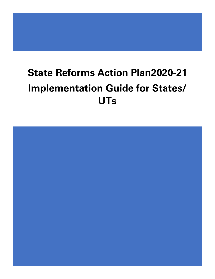# **State Reforms Action Plan2020-21 Implementation Guide for States/ UTs**

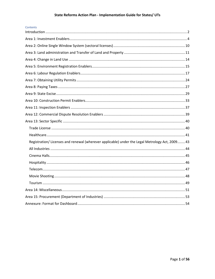# State Reforms Action Plan - Implementation Guide for States/ UTs

| Contents                                                                                        |  |
|-------------------------------------------------------------------------------------------------|--|
|                                                                                                 |  |
|                                                                                                 |  |
|                                                                                                 |  |
|                                                                                                 |  |
|                                                                                                 |  |
|                                                                                                 |  |
|                                                                                                 |  |
|                                                                                                 |  |
|                                                                                                 |  |
|                                                                                                 |  |
|                                                                                                 |  |
|                                                                                                 |  |
|                                                                                                 |  |
|                                                                                                 |  |
|                                                                                                 |  |
| Registration/ Licenses and renewal (wherever applicable) under the Legal Metrology Act, 2009 43 |  |
|                                                                                                 |  |
|                                                                                                 |  |
|                                                                                                 |  |
|                                                                                                 |  |
|                                                                                                 |  |
|                                                                                                 |  |
|                                                                                                 |  |
|                                                                                                 |  |
|                                                                                                 |  |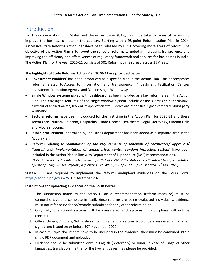# <span id="page-2-0"></span>Introduction

DPIIT, in coordination with States and Union Territories (UTs), has undertaken a series of reforms to improve the business climate in the country. Starting with a 98-point Reform action Plan in 2014, successive State Reforms Action Planshave been released by DPIIT covering more areas of reform. The objective of the Action Plan is to layout the series of reforms targeted at increasing transparency and improving the efficiency and effectiveness of regulatory framework and services for businesses in India. The Action Plan for the year 2020-21 consists of 301 Reform points spread across 15 Areas.

### **The highlights of State Reforms Action Plan 2020-21 are provided below:**

- **'Investment enablers'** has been introduced as a specific area in the Action Plan. This encompasses reforms related to'Access to information and transparency', 'Investment Facilitation Centre/ Investment Promotion Agency' and 'Online Single Window System'.
- **Single Window system**enabled with **dashboard**has been included as a key reform area in the Action Plan. The envisaged features of the single window system include online submission of application, payment of application fee, tracking of application status, download of the final signed certificate&third-party verification.
- **Sectoral reforms** have been introduced for the first time in the Action Plan for 2020-21 and these sectors are Tourism, Telecom, Hospitality, Trade License, Healthcare, Legal Metrology, Cinema Halls and Movie shooting.
- **Public procurement**undertaken by Industries department has been added as a separate area in the Action Plan.
- Reforms relating to '*elimination of the requirements of renewals of certificates/ approvals/ licenses*' and '*implementation of computerized central random inspection system*' have been included in the Action Plan in line with Department of Expenditure (DoE) recommendations. (*Note:DoE has linked additional borrowing of 0.25% of GSDP of the States in 20-21 subject to implementation of Ease of Doing Business reforms; Ref letter: F. No. 40(06)/ PF-S/ 2017-18/ Vol. V dated 17th May 2020).*

States/ UTs are required to implement the reforms andupload evidences on the EoDB Portal [https://eodb.dipp.gov.in/b](https://eodb.dipp.gov.in/)y 31<sup>st</sup>December 2020.

### **Instructions for uploading evidences on the EoDB Portal:**

- 1. The submission made by the State/UT on a recommendation (reform measure) must be comprehensive and complete in itself. Since reforms are being evaluated individually, evidence must not refer to evidence/remarks submitted for any other reform point.
- 2. Only fully operational systems will be considered and systems in pilot phase will not be considered.
- 3. Office Orders/Circulars/Notifications to implement a reform would be considered only when signed and issued on or before 30<sup>th</sup> November 2020.
- 4. In case multiple documents have to be included in the evidence, they must be combined into a single PDF document and uploaded.
- 5. Evidence should be submitted only in English (preferably) or Hindi, in case of usage of other languages, translation in either of the two languages may please be provided.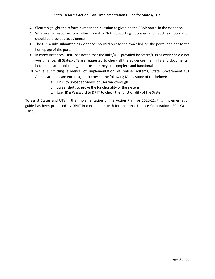### **State Reforms Action Plan - Implementation Guide for States/ UTs**

- 6. Clearly highlight the reform number and question as given on the BRAP portal in the evidence.
- 7. Wherever a response to a reform point is N/A, supporting documentation such as notification should be provided as evidence.
- 8. The URLs/links submitted as evidence should direct to the exact link on the portal and not to the homepage of the portal.
- 9. In many instances, DPIIT has noted that the links/URL provided by States/UTs as evidence did not work. Hence, all States/UTs are requested to check all the evidences (i.e., links and documents), before and after uploading, to make sure they are complete and functional.
- 10. While submitting evidence of implementation of online systems, State Governments/UT Administrations are encouraged to provide the following (At leastone of the below):
	- a. Links to uploaded videos of user walkthrough
	- b. Screenshots to prove the functionality of the system
	- c. User ID& Password to DPIIT to check the functionality of the System

To assist States and UTs in the implementation of the Action Plan for 2020-21, this implementation guide has been produced by DPIIT in consultation with International Finance Corporation (IFC), World Bank.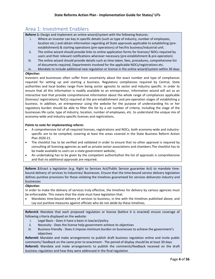# <span id="page-4-0"></span>Area 1: Investment Enablers

**Reform 1:** Design and implement an online wizard/system with the following features:

- i. Where an investor can key in specific details (such as type of industry, number of employees, location etc.) and obtain information regarding all State approvals applicable to establishing (preestablishment) & starting operations (pre-operations) of her/his business/industrial unit.
- ii. The online wizard should provide links to online application forms for licenses/ NOCs required by users and their relevant notifications wherever necessary (pre-establishment & pre-operation).
- iii. The online wizard should provide details such as time taken, fees, procedures, comprehensive list of documents required, Departments involved for the applicable NOCs/registrations etc.
- iv. Mandate to include additional new regulation or license in the online wizard/system within 30 days

#### *Objective:*

Investors and businesses often suffer from uncertainty about the exact number and type of compliances required for setting up and starting a business. Regulatory compliances required by Central, State authorities and local bodies range from being sector agnostic to sector and industry specific. In order to ensure that all this information is readily available to an entrepreneur, information wizard will act as an interactive tool that provide comprehensive information about the whole range of compliances applicable (licenses/ registrations/ NoCs) required at the pre-establishment and pre-operation stages of establishing a business. In addition, an entrepreneur using the website for the purpose of understanding his or her regulatory burden should be able to filter the list by a set number of criteria, including the stage of the businesses life cycle, type of industry, location, number of employees, etc. to understand the unique mix of economy-wide and industry-specific licenses and registrations.

#### **Points to note for implementing reform:**

- A comprehensive list of all required licenses, registrations and NOCs, both economy-wide and industryspecific are to be compiled, covering at least the areas covered in the State Business Reform Action Plan 2020-21.
- The checklist has to be verified and validated in order to ensure that no other approval is required by consulting all licensing agencies as well as private sector associations and chambers.The checklist has to be made available to users on a state government website;
- An undertaking has to be given by the competent authoritythat the list of approvals is comprehensive and that no additional approvals are required.

**Reform 2:**Enact a legislation (e.g. Right to Services Act/Public Service guarantee Act) to mandate timebound delivery of services to Industries/ Businesses. Ensure that the time-bound service delivery legislation defines punitive provisions for those violating the timelines guaranteed for services deliveryto industry and businesses

#### *Objective:*

In order to make the delivery of services truly effective, the timelines for delivery by various agencies must be enforceable. This means that the state must have legislation that:

• Mandates time-bound delivery of services to business, in line with the timelines published above; and Lay out punitive measures against officials who do not abide by these timelines.

**Reform3:** Mandate that each proposed regulation or license (before it is enacted) ensure coverage of following criteria displayed on the website:

- i. Legal Basis Does it have a basis in law/act/policy
- ii. Necessity Does the license help government achieve its objectives
- iii. Business-friendly Does it impose minimum burden on businesses to achieve the government's objectives

**Reform4:** Mandate and make arrangements to publish draft business regulation online and invite public comments/ feedback on the same prior to enactment - The period of display should be at least 30 days **Reform5:** Mandate and make arrangements to publish the comments/feedback received on the draft business regulation and how they were addressed in the final regulation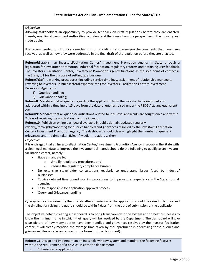#### *Objective:*

Allowing stakeholders an opportunity to provide feedback on draft regulations before they are enacted, thereby enabling Government Authorities to understand the issues from the perspective of the industry and trade bodies

It is recommended to introduce a mechanism for providing transparencyon the comments that have been received, as well as how they were addressed in the final draft of theregulation before they are enacted.

**Reform6:**Establish an InvestorsFacilitation Center/ Investment Promotion Agency in State through a legislation for investment promotion, industrial facilitation, regulatory reforms and obtaining user feedback. The Investors' Facilitation Center/ Investment Promotion Agency functions as the sole point of contact in the State/ UT for the purpose of setting up a business

**Reform7:**Define working procedures (including service timelines, assignment of relationship managers, reverting to investors, in-built sectoral expertise etc.) for Investors' Facilitation Center/ Investment Promotion Agency for:

- 1) Queries handling;
- 2) Grievance handling;

**Reform8:** Mandate that all queries regarding the application from the investor to be recorded and addressed within a timeline of 15 days from the date of queries raised under the PSDG Act/ any equivalent Act

**Reform9:** Mandate that all queries/clarifications related to industrial applicants are sought once and within 7 days of receiving the application from the investor

**Reform10:** Publish an online dashboard available in public domain updated regularly

(weekly/fortnightly/monthly) for queries handled and grievances resolved by the Investors' Facilitation Center/ Investment Promotion Agency. The dashboard should clearly highlight the number of queries/ grievances and the time taken (Mean/ Median) to address them

#### *Objective:*

It is envisaged that an InvestorsFacilitation Center/ Investment Promotion Agency is set-up in the State with a clear legal mandate to improve the investment climate.It should do the following to qualify as an investor facilitation center, namely –

- Have a mandate to:
	- o simplify regulatory procedures, and
	- o reduce the regulatory compliance burden
- Do extensive stakeholder consultations regularly to understand issues faced by industry/ Businesses
- To give detailed time bound working procedures to improve user experience in the State from all agencies
- To be responsible for application approval process
- Query and Grievance handling

Query/clarification raised by the officials after submission of the application should be raised only once and the timeline for raising the query should be within 7 days from the date of submission of the application.

The objective behind creating a dashboard is to bring transparency in the system and to help businesses to know the minimum time in which their query will be resolved by the Department. The dashboard will give clear picture of how many queries have been handled and grievances resolved by the investor facilitation center. It will clearly mention the average time taken by theDepartment in addressing those queries and grievances(Please refer annexure for the format of the dashboard).

**Reform 11:**Design and implement an online single window system and mandate the following features without the requirement of a physical visit to the department:

i. Submission of application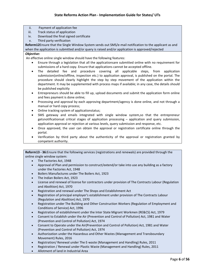- ii. Payment of application fee
- iii. Track status of application
- iv. Download the final signed certificate
- v. Third party verification

**Reform12**Ensure that the Single Window System sends out SMS/e-mail notification to the applicant as and when the application is submitted and/or query is raised and/or application is approved/rejected

#### *Objective:*

An effective online single window should have the following features:

- Ensure through a legislation that all the applicationsare submitted online with no requirement for submissions of a hard copy. Ensure that applications cannot be accepted offline.
- The detailed fee and procedure covering all applicable steps, from application submission(online/offline, inspection etc.) to application approval, is published on the portal. The procedure should clearly highlight the step by step movement of the application within the department. It may be supplemented with process maps if available; in any case, the details should be published explicitly
- Entrepreneurs should be able to fill up, upload documents and submit the application form online and fees payment is done online;
- Processing and approval by each approving department/agency is done online, and not through a manual or hard copy process;
- Online tracking system of applicationstatus;
- SMS gateway and emails integrated with single window system,so that the entrepreneur getsnotificationsat critical stages of application processing – application and query submission, application approval or rejection at various levels, query submission and response, etc.
- Once approved, the user can obtain the approval or registration certificate online through the portal.
- Verification by third party about the authenticity of the approval or registration granted by competent authority.

**Reform13 - 36:**Ensure that the following services (registrations and renewals) are provided through the online single window system:

- The Factories Act, 1948
- Approval of Plan and permission to construct/extend/or take into use any building as a factory under the Factories Act, 1948
- Boilers Manufactures under The Boilers Act, 1923
- The Indian Boilers Act, 1923
- License and renewal of license for contractors under provision of The Contracts Labour (Regulation and Abolition) Act, 1970
- Registration and renewal under The Shops and Establishment Act
- Registration of principal employer's establishment under provision of The Contracts Labour (Regulation and Abolition) Act, 1970
- Registration under The Building and Other Construction Workers (Regulation of Employment and Conditions of Service) Act, 1996
- Registration of establishment under the Inter State Migrant Workmen (RE&CS) Act, 1979
- Consent to Establish under the Air (Prevention and Control of Pollution) Act, 1981 and Water (Prevention and Control of Pollution) Act, 1974
- Consent to Operate under the Air(Prevention and Control of Pollution) Act, 1981 and Water (Prevention and Control of Pollution) Act, 1974
- Authorization under the Hazardous and Other Wastes (Management and Transboundary Movement) Rules, 2016
- Registration/ Renewal under The E-waste (Management and Handling) Rules, 2011
- Registration / Renewal under Plastic Waste (Management and Handling) Rules, 2011
- Allotment of land in Industrial Area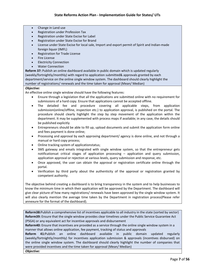- Change in Land use
- Registration under Profession Tax
- Registration under State Excise for Label
- Registration under State Excise for Brand
- License under State Excise for local sale, Import and export permit of Spirit and Indian-made foreign liquor (IMFL)
- Registration for Trade License
- Fire License
- **Electricity Connection**
- Water Connection

**Reform 37:** Publish an online dashboard available in public domain which is updated regularly (weekly/fortnightly/monthly) with regard to application submitted& approvals granted by each department/service on the online single window system. The dashboard should clearly highlight the number of registrations/ renewals and the time taken for approval (Mean/ Median)

#### *Objective:*

An effective online single window should have the following features:

- Ensure through a legislation that all the applications are submitted online with no requirement for submissions of a hard copy. Ensure that applications cannot be accepted offline.
- The detailed fee and procedure covering all applicable steps, from application submission(online/offline, inspection etc.) to application approval, is published on the portal. The procedure should clearly highlight the step by step movement of the application within the department. It may be supplemented with process maps if available; in any case, the details should be published explicitly
- Entrepreneurs should be able to fill up, upload documents and submit the application form online and fees payment is done online;
- Processing and approval by each approving department/ agency is done online, and not through a manual or hard copy process;
- Online tracking system of applicationstatus;
- SMS gateway and emails integrated with single window system, so that the entrepreneur gets notificationsat critical stages of application processing – application and query submission, application approval or rejection at various levels, query submission and response, etc.
- Once approved, the user can obtain the approval or registration certificate online through the portal.
- Verification by third party about the authenticity of the approval or registration granted by competent authority.

The objective behind creating a dashboard is to bring transparency in the system and to help businesses to know the minimum time in which their application will be approved by the Department. The dashboard will give clear picture of how many registrations/ renewals have been approved by the single window system. It will also clearly mention the average time taken by the Department in registration process(Please refer annexure for the format of the dashboard).

**Reform38:**Publish a comprehensive list of incentives applicable to all industry in the state (sorted by sector) **Reform39:** Ensure that the single window provides clear timelines under the Public Service Guarantee Act (PSGA) or any equivalent act for incentive approvals and disbursement

**Reform40:** Ensure that incentives are provided as a service through the online single window system in a manner that allows online application, fee payment, tracking of status and approvals

**Reform 41:**Publish an online dashboard available in public domain updated regularly (weekly/fortnightly/monthly) for incentives application submission & approvals (incentives disbursed) on the online single window system. The dashboard should clearly highlight the number of companies that were provided incentives and the time taken for approval (Mean/ Median)

*Objective:*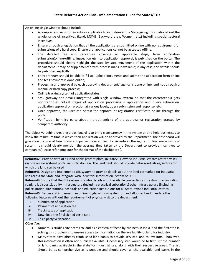An online single window should include:

- A comprehensive list of incentives applicable to industries in the State giving informationabout the whole range of incentives (Land, MSME, Backward area, Women, etc.) including special sectoral incentives.
- Ensure through a legislation that all the applications are submitted online with no requirement for submissions of a hard copy. Ensure that applications cannot be accepted offline.
- The detailed fee and procedure covering all applicable steps, from application submission(online/offline, inspection etc.) to application approval, is published on the portal. The procedure should clearly highlight the step by step movement of the application within the department. It may be supplemented with process maps if available; in any case, the details should be published explicitly
- Entrepreneurs should be able to fill up, upload documents and submit the application form online and fees payment is done online;
- Processing and approval by each approving department/ agency is done online, and not through a manual or hard copy process;
- Online tracking system of applicationstatus;
- SMS gateway and emails integrated with single window system, so that the entrepreneur gets notificationsat critical stages of application processing – application and query submission, application approval or rejection at various levels, query submission and response, etc.
- Once approved, the user can obtain the approval or registration certificate online through the portal.
- Verification by third party about the authenticity of the approval or registration granted by competent authority.

The objective behind creating a dashboard is to bring transparency in the system and to help businesses to know the minimum time in which their application will be approved by the Department. The dashboard will give clear picture of how many companies have applied for incentives through an online single window system. It should clearly mention the average time taken by the Department to provide incentives to companies(Please refer annexure for the format of the dashboard ).

**Reform42:** Provide data of all land banks (vacant plots) in State/UT-owned industrial estates (estate-wise) on one online system/ portal in public domain. The land bank should provide details/industries/sectors for which the land can be used

**Reform43:**Design and implement a GIS system to provide details about the land earmarked for industrial use across the State and integrate with Industrial Information System of DPIIT

**Reform44:**Ensure that the GIS system provides details about available connectivity infrastructure (including road, rail, airports), utility infrastructure (including electrical substations) other infrastructure (including police station, fire station), hospitals and education institutions for all State-owned industrial estates **Reform45:** Design and implement an online single window systemfor land allotmentand mandate the following features without the requirement of physical visit to the department:

- i. Submission of application
- ii. Payment of application fee
- iii. Track status of application
- iv. Download the final signed certificate
- v. Third party verification

#### *Objective:*

- Numerous studies cite access to land as a constraint faced by business in India, and the first step in solving this problem is to ensure access to information on the availability of land for industry.
- Many states have already established land banks to provide serviced land to investors however, this information is often not publicly available. A necessary step would be to first, list the number of land banks available in the state for industrial use, along with their respective areas. The list should be as comprehensive as is possible and should cover all the available land banks in the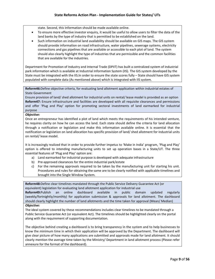state. Second, this information should be made available online.

- To ensure more effective investor enquiry, it would be useful to allow users to filter the data of the land banks by the type of industry that is permitted to be established on the land.
- Such information on industrial land availability should be available on GIS maps. The GIS system should provide information on road infrastructure, water pipelines, sewerage systems, electricity connections and gas pipelines that are available or accessible to each plot of land. The system should also clearly highlight the type of industries that are permissible and the common facilities that are available for the industries.

Department for Promotion of Industry and Internal Trade (DPIIT) has built a centralized system of industrial park information which is available at Industrial Information System (IIS). The GIS system developed by the State must be integrated with the IIS.In order to ensure the state scores fully – State should have GIS system populated with complete data (As mentioned above) which is integrated with IIS system.

**Reform46:**Define objective criteria, for evaluating land allotment application within industrial estates of State Government

Ensure provision of land/ shed allotment for industrial units on rental/ lease model is provided as an option **Reform47:** Ensure infrastructure and facilities are developed with all requisite clearances and permissions and offer 'Plug and Play' option for promoting sectoral investments of land earmarked for industrial purpose

#### *Objective:*

Once an entrepreneur has identified a plot of land which meets the requirements of his intended venture, he requires clarity on how he can access the land. Each state should define the criteria for land allocation through a notification or legislation and make this information available online. It is essential that the notification or legislation on land allocation has specific provision of land/ shed allotment for industrial units on rental/ lease model.

It is increasingly realized that in order to provide further impetus to 'Make in India' program, 'Plug and Play' option is offered to intending manufacturing units to set up operation bases in a State/UT. The three essential features of 'Plug and Play' option are:

- a) Land earmarked for industrial purpose is developed with adequate infrastructure
- b) Pre-approved clearances for the entire industrial park/estate
- c) For the remaining approvals required to be taken by the manufacturing unit for starting his unit. Procedures and rules for obtaining the same are to be clearly notified with applicable timelines and brought into the Single Window System.

**Reform48:**Define clear timelines mandated through the Public Service Delivery Guarantee Act (or equivalent) legislation for evaluating land allotment application for industrial use

**Reform49:**Publish an online dashboard available in public domain updated regularly (weekly/fortnightly/monthly) for application submission & approvals for land allotment. The dashboard should clearly highlight the number of land allotments and the time taken for approval (Mean/ Median) *Objective:*

The ideal system covered by these recommendations includes clear timelines to be mandated through a Public Service Guarantee Act (or equivalent Act). The timelines should be highlighted clearly on the portal along with the requirement of supporting documentation.

The objective behind creating a dashboard is to bring transparency in the system and to help businesses to know the minimum time in which their application will be approved by the Department. The dashboard will give clear picture of how many applications are submitted and approvals made for land allotment. It should clearly mention the average time taken by the Ministry/ Department in land allotment process (Please refer annexure for the format of the dashboard).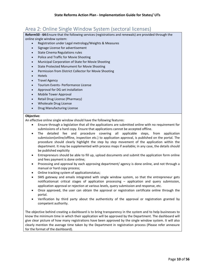# <span id="page-10-0"></span>Area 2: Online Single Window System (sectoral licenses)

**Reform50 - 64:**Ensure that the following services (registrations and renewals) are provided through the online single window system:

- Registration under Legal metrology/Weights & Measures
- Signage License for advertisement
- State Cinema Regulations rules
- Police and Traffic for Movie Shooting
- Municipal Corporation of State for Movie Shooting
- State Protected Monument for Movie Shooting
- Permission from District Collector for Movie Shooting
- Hotels
- Travel Agency
- Tourism Events- Performance License
- Approval for DG set installation
- Mobile Tower Approval
- Retail Drug License (Pharmacy)
- Wholesale Drug License
- Drug Manufacturing License

#### **Objective:**

An effective online single window should have the following features:

- Ensure through a legislation that all the applications are submitted online with no requirement for submissions of a hard copy. Ensure that applications cannot be accepted offline.
- The detailed fee and procedure covering all applicable steps, from application submission(online/offline, inspection etc.) to application approval, is published on the portal. The procedure should clearly highlight the step by step movement of the application within the department. It may be supplemented with process maps if available; in any case, the details should be published explicitly
- Entrepreneurs should be able to fill up, upload documents and submit the application form online and fees payment is done online;
- Processing and approval by each approving department/ agency is done online, and not through a manual or hard copy process;
- Online tracking system of applicationstatus;
- SMS gateway and emails integrated with single window system, so that the entrepreneur gets notificationsat critical stages of application processing – application and query submission, application approval or rejection at various levels, query submission and response, etc.
- Once approved, the user can obtain the approval or registration certificate online through the portal.
- Verification by third party about the authenticity of the approval or registration granted by competent authority.

The objective behind creating a dashboard is to bring transparency in the system and to help businesses to know the minimum time in which their application will be approved by the Department. The dashboard will give clear picture of how many registrations have been approved by the single window system. It will also clearly mention the average time taken by the Department in registration process (Please refer annexure for the format of the dashboard).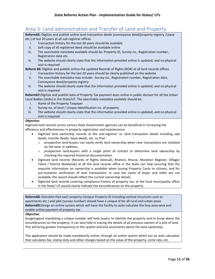# <span id="page-11-0"></span>Area 3: Land administration and Transfer of Land and Property

**Reform65:** Digitize and publish online land transaction deeds (conveyance deed/property registry /Lease etc.) of last 20 years at all sub-registrar offices.

- i. Transaction history for the last 20 years should be available
- ii. Soft copy of all registered deed should be available online
- iii. The searchable metadata available should be: Property ID, Survey no., Registration number, Registration date etc.
- iv. The website should clearly state that the information provided online is updated, and no physical visit is required

**Reform 66:** Digitize and publish online the updated Records of Rights (ROR) at all land records offices

- i. Transaction history for the last 20 years should be clearly published on the website
- ii. The searchable metadata may include: -Survey no., Registration number, Registration date, Conveyance deed/property registry
- iii. The website should clearly state that the information provided online is updated, and no physical visit is required

**Reform67:**Digitize and publish data of Property Tax payment dues online in public domain for all the Urban Local Bodies (ULBs) in the State/UT. The searchable metadata available should be:

- i. Name of the Property Taxpayer
- ii. Survey no. of land / Unique Identification no. of property
- iii. The website should clearly state that the information provided online is updated, and no physical visit is required

#### *Objective:*

Digitized land records across various State Government agencies can be beneficial in increasing the efficiency and effectiveness in property registration and maintenance:

- Digitized land ownership records at the sub-registrar i.e. land transaction deeds including sale deeds, transfer deeds, lease deeds, etc. so that:
	- $\circ$  prospective land-buyers can easily verify land ownership when new transactions are initiated on the land. In addition,
	- $\circ$  prospective land-buyers with a single point of contact to determine land ownership by checking the required historical documentation.
- Digitized land records (Records of Rights (textual), Khatoni, Khasra, Mutation Register, Village/ Tehsil / District Notebook) at all the land records office in the State can help ensuring that the requisite information on ownership is available when issuing Property Cards to citizens, and for pre-mutation verification of land transactions. In case the name of buyer and seller are not available, the record should reflect the current ownership details.
- Digitized land records covering compliance history of property tax, at the local municipality office in the State/ UT,would clearly indicate the encumbrances on the property.

**Reform68:** Mandate that each property (Unique Property ID including vertical structures such as apartments etc.) and plot (survey number) should have a unique id for all rural and urban areas **Reform69:**Design an online system which will have the facility to auto-calculate the levy area-wise and enable online payment of property tax

#### *Objective:*

Assigningand mandating a unique number will help buyers to identify the property and to know about the encumbrances on the property. It can also help in tracing the details of all previous owners of a plot of land. This will bring greater transparency in the system and end uncertainty about the land ownership.

The application should be made mandatorily online, through an online system which has an auto calculator that calculates fee, stamp duty and other charges based on the value of the property, circle rate, etc.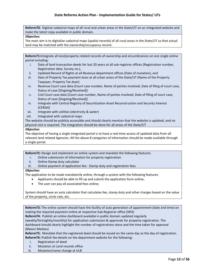**Reform70:** Digitize cadastral maps of all rural and urban areas in the State/UT on an integrated website and make the latest copy available in public domain.

#### **Objective:**

The main aim is to digitalize cadastral maps (spatial records) of all rural areas in the State/UT so that actual land may be matched with the ownership/occupancy record.

**Reform71:**Integrate all land/property related records of ownership and encumbrances on one single online portal including:

- i. Data of land transaction deeds for last 20 years at all sub-registrar offices (Registration number, Registration date, Survey no.),
- ii. Updated Record of Rights at all Revenue department offices (Date of mutation), and
- iii. Data of Property Tax payment dues at all urban areas of the State/UT (Name of the Property Taxpayer, Property Tax dues)
- iv. Revenue Court case data (Court case number, Name of parties involved, Date of filing of court case, Status of case [Ongoing/Resolved])
- v. Civil Court case data (Court case number, Name of parties involved, Date of filing of court case, Status of case [Ongoing/Resolved])
- vi. Integrate with Central Registry of Securitization Asset Reconstruction and Security Interest (CERSAI)
- vii. Integrate with utilities (electricity & water)
- viii. Integrated with cadastral maps

The website should be publicly accessible and should clearly mention that the website is updated, and no physical visit is required. The integration should be done for all areas of the State/UT

#### *Objective:*

The objective of having a single integrated portal is to have a real-time access of updated data from all relevant land related Agencies. All the above 8 categories of information should be made available through a single portal.

**Reform72:** Design and implement an online system and mandate the following features:

- i. Online submission of information for property registration
- ii. Online Stamp duty calculator
- iii. Online payment of application fee Stamp duty and registration fees

#### *Objective:*

The application to be made mandatorily online, through a system with the following features:

- Applicants should be able to fill up and submit the application form online;
- The user can pay all associated fees online;

System should have an auto calculator that calculates fee, stamp duty and other charges based on the value of the property, circle rate, etc.

**Reform73:** The online system should have the facility of auto generation of appointment (date and time) on making the required payment online at respective Sub-Registrar office (SRO)

**Reform74:** Publish an online dashboard available in public domain updated regularly

(weekly/fortnightly/monthly) for application submission & approvals for property registration. The dashboard should clearly highlight the number of registrations done and the time taken for approval (Mean/ Median)

**Reform75:** Mandate that the registered deed should be issued on the same day as the day of registration. **Reform76:** Publish fee details on the department website for the following:

- i. Registration of deed
- ii. Mutation at Land records office
- iii. Mutation/name change at ULB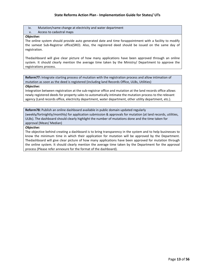iv. Mutation/name change at electricity and water department

#### v. Access to cadastral maps

#### *Objective:*

The online system should provide auto generated date and time forappointment with a facility to modify the sameat Sub-Registrar office(SRO). Also, the registered deed should be issued on the same day of registration.

Thedashboard will give clear picture of how many applications have been approved through an online system. It should clearly mention the average time taken by the Ministry/ Department to approve the registrations process.

**Reform77:** Integrate starting process of mutation with the registration process and allow intimation of mutation as soon as the deed is registered (including land Records Office, ULBs, Utilities)

#### *Objective:*

Integration between registration at the sub-registrar office and mutation at the land records office allows newly registered deeds for property sales to automatically intimate the mutation process to the relevant agency (Land records office, electricity department, water department, other utility department, etc.).

**Reform78:** Publish an online dashboard available in public domain updated regularly (weekly/fortnightly/monthly) for application submission & approvals for mutation (at land records, utilities, ULBs). The dashboard should clearly highlight the number of mutations done and the time taken for approval (Mean/ Median)

#### *Objective:*

The objective behind creating a dashboard is to bring transparency in the system and to help businesses to know the minimum time in which their application for mutation will be approved by the Department. Thedashboard will give clear picture of how many applications have been approved for mutation through the online system. It should clearly mention the average time taken by the Department for the approval process (Please refer annexure for the format of the dashboard).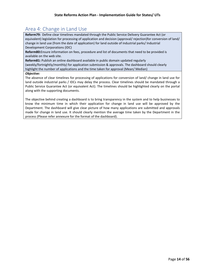# <span id="page-14-0"></span>Area 4: Change in Land Use

**Reform79:** Define clear timelines mandated through the Public Service Delivery Guarantee Act (or equivalent) legislation for processing of application and decision (approval/ rejection)for conversion of land/ change in land use (from the date of application) for land outside of industrial parks/ Industrial Development Corporations (IDC)

**Reform80:**Ensure information on fees, procedure and list of documents that need to be provided is available on the web site.

**Reform81:** Publish an online dashboard available in public domain updated regularly (weekly/fortnightly/monthly) for application submission & approvals. The dashboard should clearly highlight the number of applications and the time taken for approval (Mean/ Median)

#### *Objective:*

The absence of clear timelines for processing of applications for conversion of land/ change in land use for land outside industrial parks / IDCs may delay the process. Clear timelines should be mandated through a Public Service Guarantee Act (or equivalent Act). The timelines should be highlighted clearly on the portal along with the supporting documents.

The objective behind creating a dashboard is to bring transparency in the system and to help businesses to know the minimum time in which their application for change in land use will be approved by the Department. The dashboard will give clear picture of how many applications are submitted and approvals made for change in land use. It should clearly mention the average time taken by the Department in the process (Please refer annexure for the format of the dashboard).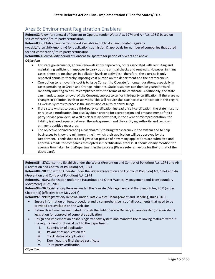# <span id="page-15-0"></span>Area 5: Environment Registration Enablers

**Reform82:**Allow for renewal of Consent to Operate (under Water Act, 1974 and Air Act, 1981) based on self-certification/ third party certification

**Reform83:**Publish an online dashboard available in public domain updated regularly (weekly/fortnightly/monthly) for application submission & approvals for number of companies that opted for self-certification/ third party certification.

**Reform84:**Allow validity period of Consent to Operate for period of 5 years and above

#### *Objective:*

- For state governments, annual renewals imply paperwork, costs associated with recruiting and maintaining sufficient manpower to carry out the annual checks and renewals. However, in many cases, there are no changes in pollution levels or activities – therefore, the exercise is only repeated annually, thereby imposing cost burden on the department and the entrepreneur.
- One option to remove this cost is to issue Consent to Operate for longer durations, especially in cases pertaining to Green and Orange industries. State resources can then be geared toward randomly auditing to ensure compliance with the terms of the certificate. Additionally, the state can mandate auto renewal of the Consent, subject to self or third-party certification, if there are no changes in pollution levels or activities. This will require the issuance of a notification in this regard, as well as systems to process the submission of auto-renewal filings.
- If the state wishes to pursue third-party certification instead of self-certification, the state must not only issue a notification, but also lay down criteria for accreditation and empanelment of thirdparty service providers, as well as clearly lay down that, in the event of misrepresentation, the liability is shared equally between the entrepreneur and the certifying authority and lay down stringent punitive measures.
- The objective behind creating a dashboard is to bring transparency in the system and to help businesses to know the minimum time in which their application will be approved by the Department. Thedashboard will give clear picture of how many applications are submitted and approvals made for companies that opted self-certification process. It should clearly mention the average time taken by theDepartment in the process (Please refer annexure for the format of the dashboard).

**Reform85 - 87:**Consent to Establish under the Water (Prevention and Control of Pollution) Act, 1974 and Air (Prevention and Control of Pollution) Act, 1974

**Reform88 - 90:**Consent to Operate under the Water (Prevention and Control of Pollution) Act, 1974 and Air (Prevention and Control of Pollution) Act, 1974

**Reform91 - 93:**Authorization under the Hazardous and Other Wastes (Management and Transboundary Movement) Rules, 2016

**Reform94 - 96:**Registration/ Renewal under The E-waste (Management and Handling) Rules, 2011(under Chapter III) (effective from May 2012)

**Reform97 - 99:**Registration/ Renewal under Plastic Waste (Management and Handling) Rules, 2011

- Ensure information on fees, procedure and a comprehensive list of all documents that need to be provided are available on the web site
- Define clear timelines mandated through the Public Service Delivery Guarantee Act (or equivalent) legislation for approval of complete application
- Design and implement an online single window system and mandate the following features without the requirement of physical visit to the department:
	- i. Submission of application
	- ii. Payment of application fee
	- iii. Track status of application
	- iv. Download the final signed certificate
	- v. Third party verification

#### *Objective:*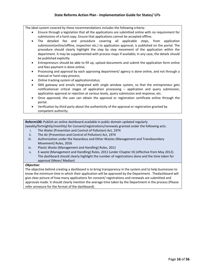The ideal system covered by these recommendations includes the following criteria:

- Ensure through a legislation that all the applications are submitted online with no requirement for submissions of a hard copy. Ensure that applications cannot be accepted offline.
- The detailed fee and procedure covering all applicable steps, from application submission(online/offline, inspection etc.) to application approval, is published on the portal. The procedure should clearly highlight the step by step movement of the application within the department. It may be supplemented with process maps if available; in any case, the details should be published explicitly
- Entrepreneurs should be able to fill up, upload documents and submit the application form online and fees payment is done online;
- Processing and approval by each approving department/ agency is done online, and not through a manual or hard copy process;
- Online tracking system of applicationstatus;
- SMS gateway and emails integrated with single window system, so that the entrepreneur gets notificationsat critical stages of application processing – application and query submission, application approval or rejection at various levels, query submission and response, etc.
- Once approved, the user can obtain the approval or registration certificate online through the portal.
- Verification by third party about the authenticity of the approval or registration granted by competent authority.

**Reform100:** Publish an online dashboard available in public domain updated regularly (weekly/fortnightly/monthly) for Consent/registrations/renewals granted under the following acts:

- i. The Water (Prevention and Control of Pollution) Act, 1974
- ii. The Air (Prevention and Control of Pollution) Act, 1974
- iii. Authorization under the Hazardous and Other Wastes (Management and Transboundary Movement) Rules, 2016
- iv. Plastic Waste (Management and Handling) Rules, 2011
- v. E-waste (Management and Handling) Rules, 2011 (under Chapter III) (effective from May 2012). The dashboard should clearly highlight the number of registrations done and the time taken for approval (Mean/ Median)

#### *Objective:*

The objective behind creating a dashboard is to bring transparency in the system and to help businesses to know the minimum time in which their application will be approved by the Department. Thedashboard will give clear picture of how many applications for consent/ registrations and renewals are submitted and approvals made. It should clearly mention the average time taken by the Department in the process (Please refer annexure for the format of the dashboard).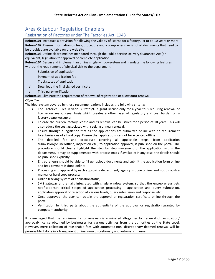# <span id="page-17-0"></span>Area 6: Labour Regulation Enablers

# Registration of Factories under The Factories Act, 1948

**Reform101:**Introduce a provision for allowing the validity of license for a factory Act to be 10 years or more. **Reform102:** Ensure information on fees, procedure and a comprehensive list of all documents that need to be provided are available on the web site

**Reform103:**Define clear timelines mandated through the Public Service Delivery Guarantee Act (or equivalent) legislation for approval of complete application

**Reform104:**Design and implement an online single windowsystem and mandate the following features without the requirement of physical visit to the department:

- i. Submission of application
- ii. Payment of application fee
- iii. Track status of application
- iv. Download the final signed certificate
- v. Third party verification

#### **Reform105:**Eliminate the requirement of renewal of registration or allow auto-renewal

#### *Objective:*

The ideal system covered by these recommendations includes the following criteria:

- The Factories Rules in various States/UTs grant license only for a year thus requiring renewal of license on year-on-year basis which creates another layer of regulatory and cost burden on a factory owner/occupier.
- To ease the burden, factory license and its renewal can be issued for a period of 10 years. This will also reduce the cost associated with seeking annual renewal.
- Ensure through a legislation that all the applications are submitted online with no requirement forsubmissions of a hard copy. Ensure that applications cannot be accepted offline.
- The detailed fee and procedure covering all applicable steps, from application submission(online/offline, inspection etc.) to application approval, is published on the portal. The procedure should clearly highlight the step by step movement of the application within the department. It may be supplemented with process maps if available; in any case, the details should be published explicitly
- Entrepreneurs should be able to fill up, upload documents and submit the application form online and fees payment is done online;
- Processing and approval by each approving department/ agency is done online, and not through a manual or hard copy process;
- Online tracking system of applicationstatus;
- SMS gateway and emails integrated with single window system, so that the entrepreneur gets notificationsat critical stages of application processing – application and query submission, application approval or rejection at various levels, query submission and response, etc.
- Once approved, the user can obtain the approval or registration certificate online through the portal.
- Verification by third party about the authenticity of the approval or registration granted by competent authority.

It is envisaged that the requirements for renewals is eliminated altogether for renewal of registration/ approval/ license obtained by businesses for various activities from the authorities at the State Level. However, mere collection of reasonable fees with automatic non- discretionary deemed renewal will be permissible if done in a transparent online, non- discretionary and automatic manner.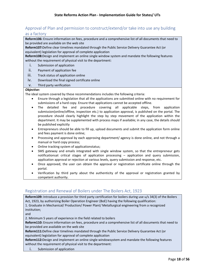# Approval of Plan and permission to construct/extend/or take into use any building as a factory

**Reform106:** Ensure information on fees, procedure and a comprehensive list of all documents that need to be provided are available on the web site

**Reform107:**Define clear timelines mandated through the Public Service Delivery Guarantee Act (or equivalent) legislation for approval of complete application

**Reform108:**Design and implement an online single window system and mandate the following features without the requirement of physical visit to the department:

- i. Submission of application
- ii. Payment of application fee
- iii. Track status of application online
- iv. Download the final signed certificate online
- v. Third party verification

#### *Objective:*

The ideal system covered by these recommendations includes the following criteria:

- Ensure through a legislation that all the applications are submitted online with no requirement for submissions of a hard copy. Ensure that applications cannot be accepted offline.
- The detailed fee and procedure covering all applicable steps, from application submission(online/offline, inspection etc.) to application approval, is published on the portal. The procedure should clearly highlight the step by step movement of the application within the department. It may be supplemented with process maps if available; in any case, the details should be published explicitly
- Entrepreneurs should be able to fill up, upload documents and submit the application form online and fees payment is done online;
- Processing and approval by each approving department/ agency is done online, and not through a manual or hard copy process;
- Online tracking system of applicationstatus;
- SMS gateway and emails integrated with single window system, so that the entrepreneur gets notificationsat critical stages of application processing – application and query submission, application approval or rejection at various levels, query submission and response, etc.
- Once approved, the user can obtain the approval or registration certificate online through the portal.
- Verification by third party about the authenticity of the approval or registration granted by competent authority.

# Registration and Renewal of Boilers under The Boilers Act, 1923

**Reform109:** Introduce a provision for third party certification for boilers during use u/s 34(3) of the Boilers Act, 1923, by authorizing Boiler Operation Engineer (BoE) having the following qualification: 1. Graduate in Mechanical/ Production/ Power Plant/ Metallurgical engineering from a recognized institution; and 2. Minimum 5 years of experience in the field related to boilers **Reform110:** Ensure information on fees, procedure and a comprehensive list of all documents that need to be provided are available on the web site **Reform111:**Define clear timelines mandated through the Public Service Delivery Guarantee Act (or equivalent) legislation for approval of complete application **Reform112:**Design and implement an online single windowsystem and mandate the following features without the requirement of physical visit to the department: i. Submission of application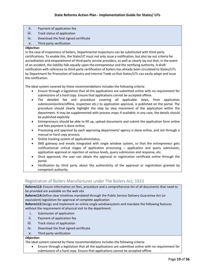- ii. Payment of application fee
- iii. Track status of application
- iv. Download the final signed certificate
- v. Third party verification

#### *Objective:*

In the case of inspections of boilers, Departmental inspections can be substituted with third-party certifications. To enable this, the State/UT must not only issue a notification, but also lay out criteria for accreditation and empanelment of third-party service providers, as well as clearly lay out that, in the event of an accident, the liability falls equally upon the entrepreneur and the certifying authority. A draft notification with reference to third-party certification of boilers has already been circulated to States/UTs by Department for Promotion of Industry and Internal Trade so that States/UTs can easily adapt and issue the notification.

The ideal system covered by these recommendations includes the following criteria:

- Ensure through a legislation that all the applications are submitted online with no requirement for submissions of a hard copy. Ensure that applications cannot be accepted offline.
- The detailed fee and procedure covering all applicable steps, from application submission(online/offline, inspection etc.) to application approval, is published on the portal. The procedure should clearly highlight the step by step movement of the application within the department. It may be supplemented with process maps if available; in any case, the details should be published explicitly
- Entrepreneurs should be able to fill up, upload documents and submit the application form online and fees payment is done online;
- Processing and approval by each approving department/ agency is done online, and not through a manual or hard copy process;
- Online tracking system of applicationstatus;
- SMS gateway and emails integrated with single window system, so that the entrepreneur gets notificationsat critical stages of application processing – application and query submission, application approval or rejection at various levels, query submission and response, etc.
- Once approved, the user can obtain the approval or registration certificate online through the portal.
- Verification by third party about the authenticity of the approval or registration granted by competent authority.

# Registration of Boilers Manufactures under The Boilers Act, 1923

**Reform113:** Ensure information on fees, procedure and a comprehensive list of all documents that need to be provided are available on the web site

**Reform114:**Define clear timelines mandated through the Public Service Delivery Guarantee Act (or equivalent) legislation for approval of complete application

**Reform115:**Design and implement an online single windowsystem and mandate the following features without the requirement of physical visit to the department:

- i. Submission of application
- ii. Payment of application fee
- iii. Track status of application
- iv. Download the final signed certificate

#### v. Third party verification

#### *Objective:*

The ideal system covered by these recommendations includes the following criteria:

• Ensure through a legislation that all the applications are submitted online with no requirement for submissions of a hard copy. Ensure that applications cannot be accepted offline.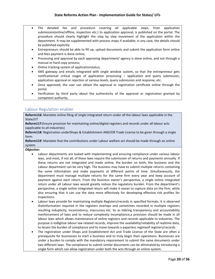- The detailed fee and procedure covering all applicable steps, from application submission(online/offline, inspection etc.) to application approval, is published on the portal. The procedure should clearly highlight the step by step movement of the application within the department. It may be supplemented with process maps if available; in any case, the details should be published explicitly
- Entrepreneurs should be able to fill up, upload documents and submit the application form online and fees payment is done online;
- Processing and approval by each approving department/ agency is done online, and not through a manual or hard copy process;
- Online tracking system of applicationstatus;
- SMS gateway and emails integrated with single window system, so that the entrepreneur gets notificationsat critical stages of application processing – application and query submission, application approval or rejection at various levels, query submission and response, etc.
- Once approved, the user can obtain the approval or registration certificate online through the portal.
- Verification by third party about the authenticity of the approval or registration granted by competent authority.

# Labour Regulation enabler

**Reform116:** Mandate online filing of single integrated return under all the labour laws applicable in the State/UT

**Reform117:**Ensure provision for maintaining online/digital registers and records under all labour acts (applicable to all industries)

**Reform118**: Registration underShops & Establishment AND/OR Trade License to be given through a single form.

**Reform119**: Mandate that the contributions under Labour welfare act should be made through an online system

#### *Objective:*

- Labour departments are tasked with implementing and ensuring compliance under various labour laws, and most, if not all, of these laws require the submission of returns and payments annually. If these returns are not integrated and made online, the burden on both, the business and the Labour department can be very high. The business may have to submit multiple returns containing the same information and make payments at different points of time. Simultaneously, the department must manage multiple returns for the same firm every year and keep account of payment against each return. From the business owner's perspective, a single online integrated return under all Labour laws would greatly reduce the regulatory burden. From the department's perspective, a single online integrated return will make it easier to capture data on the firm, while also ensuring that it can use the data more effectively for developing effective risk profiles for inspections.
- Labour laws provide for maintaining multiple Registers/records in specified formats. It is observed thatinformation required in the registers overlaps and sometimes recorded in multiple registers resulting induplicity, inconsistency, inaccuracy etc. So as tobring transparency and accountability inenforcement of laws and to reduce complexity incompliance,a provision should be made in all labour laws which allows maintenance of online registers and records applicable to industries. The purpose is todigitize labour law related records, improve the availability/reliability of realtime data, to lessen the burden of compliance and to move towards a paperless regimeof registers/records.
- The registration under Shops and Establishment Act and Trade License of the State are often a prerequisite for businesses to start a business and to truly begin their operations. Businesses are under a burden to comply with the mandatory requirement to submit the same documents under two different laws. The compliance to submit similar documents can be eliminated by introducing a single form which can allow registration under both the acts through an online system.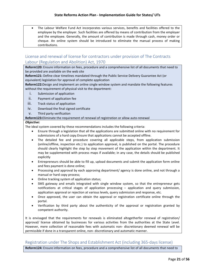The Labour Welfare Fund Act incorporates various services, benefits and facilities offered to the employee by the employer. Such facilities are offered by means of contribution from the employer and the employee. Generally, the amount of contribution is made through cash, money order or cheque. An online system should be introduced to eliminate the manual process of making contributions.

# License and renewal of license for contractors under provision of The Contracts Labour (Regulation and Abolition) Act, 1970

**Reform120:** Ensure information on fees, procedure and a comprehensive list of all documents that need to be provided are available on the web site

**Reform121:** Define clear timelines mandated through the Public Service Delivery Guarantee Act (or equivalent) legislation for approval of complete application

**Reform122:**Design and implement an online single window system and mandate the following features without the requirement of physical visit to the department:

- i. Submission of application
- ii. Payment of application fee
- iii. Track status of application
- iv. Download the final signed certificate
- v. Third party verification

#### **Reform123:**Eliminate the requirement of renewal of registration or allow auto-renewal

#### *Objective:*

The ideal system covered by these recommendations includes the following criteria:

- Ensure through a legislation that all the applications are submitted online with no requirement for submissions of a hard copy.Ensure that applications cannot be accepted offline.
- The detailed fee and procedure covering all applicable steps, from application submission (online/offline, inspection etc.) to application approval, is published on the portal. The procedure should clearly highlight the step by step movement of the application within the department. It may be supplemented with process maps if available; in any case, the details should be published explicitly
- Entrepreneurs should be able to fill up, upload documents and submit the application form online and fees payment is done online;
- Processing and approval by each approving department/ agency is done online, and not through a manual or hard copy process;
- Online tracking system of application status;
- SMS gateway and emails integrated with single window system, so that the entrepreneur gets notifications at critical stages of application processing – application and query submission, application approval or rejection at various levels, query submission and response, etc.
- Once approved, the user can obtain the approval or registration certificate online through the portal.
- Verification by third party about the authenticity of the approval or registration granted by competent authority.

It is envisaged that the requirements for renewals is eliminated altogetherfor renewal of registration/ approval/ license obtained by businesses for various activities from the authorities at the State Level. However, mere collection of reasonable fees with automatic non- discretionary deemed renewal will be permissible if done in a transparent online, non- discretionary and automatic manner.

# Registration under The Shops and Establishment Act (including 365-days license)

**Reform124:** Ensure information on fees, procedure and a comprehensive list of all documents that need to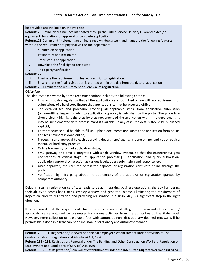be provided are available on the web site

**Reform125:**Define clear timelines mandated through the Public Service Delivery Guarantee Act (or equivalent) legislation for approval of complete application

**Reform126:**Design and implement an online single windowsystem and mandate the following features without the requirement of physical visit to the department:

- i. Submission of application
- ii. Payment of application fee
- iii. Track status of application
- iv. Download the final signed certificate
- v. Third party verification

#### **Reform127:**

- i. Eliminate the requirement of Inspection prior to registration
- ii. Ensure that the final registration is granted within one day from the date of application

#### **Reform128:** Eliminate the requirement of Renewal of registration

#### *Objective:*

The ideal system covered by these recommendations includes the following criteria:

- Ensure through a legislation that all the applications are submitted online with no requirement for submissions of a hard copy.Ensure that applications cannot be accepted offline.
- The detailed fee and procedure covering all applicable steps, from application submission (online/offline, inspection etc.) to application approval, is published on the portal. The procedure should clearly highlight the step by step movement of the application within the department. It may be supplemented with process maps if available; in any case, the details should be published explicitly
- Entrepreneurs should be able to fill up, upload documents and submit the application form online and fees payment is done online;
- Processing and approval by each approving department/ agency is done online, and not through a manual or hard copy process;
- Online tracking system of application status;
- SMS gateway and emails integrated with single window system, so that the entrepreneur gets notifications at critical stages of application processing – application and query submission, application approval or rejection at various levels, query submission and response, etc.
- Once approved, the user can obtain the approval or registration certificate online through the portal.
- Verification by third party about the authenticity of the approval or registration granted by competent authority.

Delay in issuing registration certificate leads to delay in starting business operations, thereby hampering their ability to access bank loans, employ workers and generate income. Eliminating the requirement of inspection prior to registration and providing registration in a single day is a significant step in the right direction.

It is envisaged that the requirements for renewals is eliminated altogetherfor renewal of registration/ approval/ license obtained by businesses for various activities from the authorities at the State Level. However, mere collection of reasonable fees with automatic non- discretionary deemed renewal will be permissible if done in a transparent online, non- discretionary and automatic manner.

**Reform129 - 131:** Registration/Renewal of principal employer's establishment under provision of The Contracts Labour (Regulation and Abolition) Act, 1970

**Reform 132 - 134:** Registration/Renewal under The Building and Other Construction Workers (Regulation of Employment and Conditions of Service) Act, 1996

**Reform 135 - 137:** Registration/Renewal of establishment under the Inter State Migrant Workmen (RE&CS)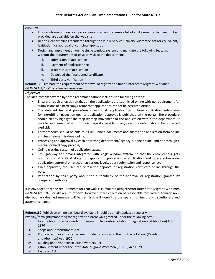#### Act,1979

- Ensure information on fees, procedure and a comprehensive list of all documents that need to be provided are available on the web site
- Define clear timelines mandated through the Public Service Delivery Guarantee Act (or equivalent) legislation for approval of complete application
- Design and implement an online single window system and mandate the following features without the requirement of physical visit to the department:
	- i. Submission of application
	- ii. Payment of application fee
	- iii. Track status of application
	- iv. Download the final signed certificate
	- v. Third party verification

**Reform138:**Eliminate the requirement of renewal of registration under Inter State Migrant Workmen (RE&CS) Act, 1979 or allow auto-renewal.

#### *Objective:*

The ideal system covered by these recommendations includes the following criteria:

- Ensure through a legislation that all the applications are submitted online with no requirement for submissions of a hard copy.Ensure that applications cannot be accepted offline.
- The detailed fee and procedure covering all applicable steps, from application submission (online/offline, inspection etc.) to application approval, is published on the portal. The procedure should clearly highlight the step by step movement of the application within the department. It may be supplemented with process maps if available; in any case, the details should be published explicitly
- Entrepreneurs should be able to fill up, upload documents and submit the application form online and fees payment is done online;
- Processing and approval by each approving department/ agency is done online, and not through a manual or hard copy process;
- Online tracking system of application status;
- SMS gateway and emails integrated with single window system, so that the entrepreneur gets notifications at critical stages of application processing – application and query submission, application approval or rejection at various levels, query submission and response, etc.
- Once approved, the user can obtain the approval or registration certificate online through the portal.
- Verification by third party about the authenticity of the approval or registration granted by competent authority.

It is envisaged that the requirements for renewals is eliminated altogetherfor Inter State Migrant Workmen (RE&CS) Act, 1979 or allow auto-renewal.However, mere collection of reasonable fees with automatic nondiscretionary deemed renewal will be permissible if done in a transparent online, non- discretionary and automatic manner.

**Reform139:**Publish an online dashboard available in public domain updated regularly

(weekly/fortnightly/monthly) for registrations/renewals granted under the following acts:

- i. License for contractors under provision of The Contracts Labour (Regulation and Abolition) Act, 1970
- ii. Shops and Establishment Act
- iii. Principal employer's establishment under provision of The Contracts Labour (Regulation and Abolition) Act, 1970
- iv. Building and Other construction workers Act
- v. Establishment under the Inter State Migrant Workmen (RE&CS) Act,1979
- vi. Factories Act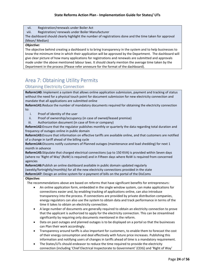vii. Registration/renewals under Boiler Act

viii. Registration/ renewals under Boiler Manufacturer

The dashboard should clearly highlight the number of registrations done and the time taken for approval (Mean/ Median)

#### *Objective:*

The objective behind creating a dashboard is to bring transparency in the system and to help businesses to know the minimum time in which their application will be approved by the Department. The dashboard will give clear picture of how many applications for registrations and renewals are submitted and approvals made under the above mentioned labour laws. It should clearly mention the average time taken by the Department in the process (Please refer annexure for the format of the dashboard).

# <span id="page-24-0"></span>Area 7: Obtaining Utility Permits

### Obtaining Electricity Connection

**Reform140:** Implement a system that allows online application submission, payment and tracking of status without the need for a physical touch point for document submission for new electricity connection and mandate that all applications are submitted online

**Reform141:**Reduce the number of mandatory documents required for obtaining the electricity connection to:

- i. Proof of identity of the user
- ii. Proof of ownership/occupancy (in case of owned/leased premise)
- iii. Authorization document (in case of firm or company)

**Reform142:**Ensure that the regulator publishes monthly or quarterly the data regarding total duration and frequency of outages online in public domain

**Reform143:**Ensure that information on effective tariffs are available online, and that customers are notified of a change in tariff ahead of the billing cycle

**Reform144:**Discoms notify customers of Planned outages (maintenance and load shedding) for next 1 month in advance

**Reform145:**Stipulate that charged electrical connections (up to 150 KVA) is provided within Seven days (where no 'Right of Way' (RoW) is required) and in Fifteen days where RoW is required from concerned agencies

**Reform146:**Publish an online dashboard available in public domain updated regularly (weekly/fortnightly/monthly) for all the new electricity connections provided in the state **Reform147:** Design an online system for e-payment of bills on the portal of the DisComs

#### **Objective:**

The recommendations above are based on reforms that have significant benefits for entrepreneurs:

- An online application form, embedded in the single window system, can make applications for connections easier and, by enabling tracking of applications online, can also introduce transparency into the process. If connections are provided by private distribution companies, energy regulators can also use the system to obtain data and track performance in terms of the time it takes to obtain an electricity connection.
- A large number of documents are generally required to obtain an electricity connection to prove that the applicant is authorized to apply for the electricity connection. This can be streamlined significantly by requiring only documents mentioned in the reform.
- Data on past outages and planned outages is to be displayed on a portal so that the businesses can Plan their work accordingly.
- Transparency around tariffs is also important for customers, to enable them to forecast the cost of their energy consumption and deal effectively with future price increases. Publishing this information and notifying users of changes in tariffs ahead of time is a mandatory requirement.
- The States/UTs should endeavor to reduce the time required to provide the electricity connection (including 'Chief Electrical Inspectorate to Government' (CEIG) and 'Right of Way'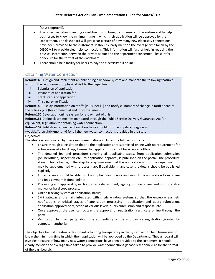(RoW) approval).

- The objective behind creating a dashboard is to bring transparency in the system and to help businesses to know the minimum time in which their application will be approved by the Department. The dashboard will give clear picture of how many new electricity connections have been provided to the customers. It should clearly mention the average time taken by the DISCOMS to provide electricity connections. This information will further help in reducing the physical interaction between the private sector and the department concerned.Please refer annexure for the format of the dashboard.
- There should be a facility for users to pay the electricity bill online.

## Obtaining Water Connection

**Reform148:** Design and implement an online single window system and mandate the following features without the requirement of physical visit to the department:

- i. Submission of application
- ii. Payment of application fee
- iii. Track status of application
- iv. Third party verification

**Reform149:**Display information on tariffs (in Rs. per kL) and notify customers of change in tariff ahead of the billing cycle (for commercial and industrial users)

**Reform150:**Develop an online system for e-payment of bills

**Reform151:**Define clear timelines mandated through the Public Service Delivery Guarantee Act (or equivalent) legislation for obtaining water connection

**Reform152:**Publish an online dashboard available in public domain updated regularly

(weekly/fortnightly/monthly) for all the new water connections provided in the state

#### **Objective:**

The ideal system covered by these recommendations includes the following criteria:

- Ensure through a legislation that all the applications are submitted online with no requirement for submissions of a hard copy.Ensure that applications cannot be accepted offline.
- The detailed fee and procedure covering all applicable steps, from application submission (online/offline, inspection etc.) to application approval, is published on the portal. The procedure should clearly highlight the step by step movement of the application within the department. It may be supplemented with process maps if available; in any case, the details should be published explicitly
- Entrepreneurs should be able to fill up, upload documents and submit the application form online and fees payment is done online;
- Processing and approval by each approving department/ agency is done online, and not through a manual or hard copy process;
- Online tracking system of application status;
- SMS gateway and emails integrated with single window system, so that the entrepreneur gets notifications at critical stages of application processing – application and query submission, application approval or rejection at various levels, query submission and response, etc.
- Once approved, the user can obtain the approval or registration certificate online through the portal.
- Verification by third party about the authenticity of the approval or registration granted by competent authority.

The objective behind creating a dashboard is to bring transparency in the system and to help businesses to know the minimum time in which their application will be approved by the Department. Thedashboard will give clear picture of how many new water connections have been provided to the customers. It should clearly mention the average time taken to provide water connections (Please refer annexure for the format of the dashboard).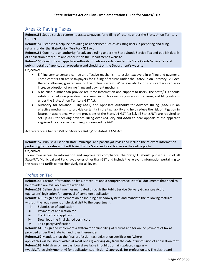# <span id="page-27-0"></span>Area 8: Paying Taxes

**Reform153:**Set up service centers to assist taxpayers for e-filing of returns under the State/Union Territory GST Act

**Reform154:**Establish a helpline providing basic services such as assisting users in preparing and filing returns under the State/Union Territory GST Act

**Reform155:**Constitute an authority for advance ruling under the State Goods Service Tax and publish details of application procedure and checklist on the Department's website

**Reform156:**Constitute an appellate authority for advance ruling under the State Goods Service Tax and publish details of application procedure and checklist on the Department's website

#### **Objective:**

- E-filing service centers can be an effective mechanism to assist taxpayers in e-filing and payment. These centers can assist taxpayers for e-filing of returns under the State/Union Territory GST Act, thereby allowing greater use of the online system. Wide availability of such centers can also increase adoption of online filing and payment mechanism.
- A helpline number can provide real-time information and support to users. The State/UTs should establish a helpline providing basic services such as assisting users in preparing and filing returns under the State/Union Territory GST Act.
- Authority for Advance Ruling (AAR) and Appellate Authority for Advance Ruling (AAAR) is an effective mechanism to provide certainty in the tax liability and help reduce the risk of litigation in future. In accordance with the provisions of the State/UT GST Act [1], all States/UTs are required to set up AAR for seeking advance ruling over GST levy and AAAR to hear appeals of the applicant aggrieved by any advance ruling pronounced by AAR.

Act reference: Chapter XVII on 'Advance Ruling' of State/UT GST Act.

**Reform157:** Publish a list of all state, municipal and panchayat levies and include the relevant information pertaining to the rates and tariff levied by the State and local bodies on the online portal

#### **Objective:**

To improve access to information and improve tax compliance, the State/UT should publish a list of all State/UT, Municipal and Panchayat levies other than GST and include the relevant information pertaining to the rates and tariffs comprehensively for all levies.

# Profession Tax

**Reform158:** Ensure information on fees, procedure and a comprehensive list of all documents that need to be provided are available on the web site

**Reform159:**Define clear timelines mandated through the Public Service Delivery Guarantee Act (or equivalent) legislation for approval of complete application

**Reform160:**Design and implement an online single windowsystem and mandate the following features without the requirement of physical visit to the department:

- i. Submission of application
- ii. Payment of application fee
- iii. Track status of application
- iv. Download the final signed certificate
- v. Third party verification

**Reform161:**Design and implement a system for online filing of returns and for online payment of tax as provided under the State Act and rules thereunder

**Reform162:**Mandate that the final profession tax registration certification (where

applicable) will be issued within at most one (1) working day from the date ofsubmission of application form **Reform163:**Publish an online dashboard available in public domain updated regularly

(weekly/fortnightly/monthly) for application submission & approvals for profession tax. The dashboard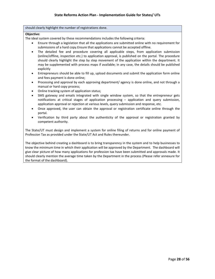#### should clearly highlight the number of registrations done.

#### **Objective:**

The ideal system covered by these recommendations includes the following criteria:

- Ensure through a legislation that all the applications are submitted online with no requirement for submissions of a hard copy.Ensure that applications cannot be accepted offline.
- The detailed fee and procedure covering all applicable steps, from application submission (online/offline, inspection etc.) to application approval, is published on the portal. The procedure should clearly highlight the step by step movement of the application within the department. It may be supplemented with process maps if available; in any case, the details should be published explicitly
- Entrepreneurs should be able to fill up, upload documents and submit the application form online and fees payment is done online;
- Processing and approval by each approving department/ agency is done online, and not through a manual or hard copy process;
- Online tracking system of application status;
- SMS gateway and emails integrated with single window system, so that the entrepreneur gets notifications at critical stages of application processing – application and query submission, application approval or rejection at various levels, query submission and response, etc.
- Once approved, the user can obtain the approval or registration certificate online through the portal.
- Verification by third party about the authenticity of the approval or registration granted by competent authority.

The State/UT must design and implement a system for online filing of returns and for online payment of Profession Tax as provided under the State/UT Act and Rules thereunder.

The objective behind creating a dashboard is to bring transparency in the system and to help businesses to know the minimum time in which their application will be approved by the Department. The dashboard will give clear picture of how many applications for profession tax have been submitted and approvals made. It should clearly mention the average time taken by the Department in the process (Please refer annexure for the format of the dashboard).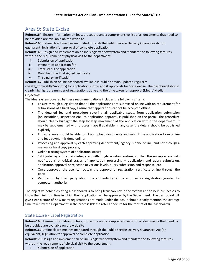# <span id="page-29-0"></span>Area 9: State Excise

**Reform164:** Ensure information on fees, procedure and a comprehensive list of all documents that need to be provided are available on the web site

**Reform165:**Define clear timelines mandated through the Public Service Delivery Guarantee Act (or equivalent) legislation for approval of complete application

**Reform166:**Design and implement an online single windowsystem and mandate the following features without the requirement of physical visit to the department:

- i. Submission of application
- ii. Payment of application fee
- iii. Track status of application
- iv. Download the final signed certificate
- v. Third party verification

**Reform167:**Publish an online dashboard available in public domain updated regularly

(weekly/fortnightly/monthly) for application submission & approvals for State excise. The dashboard should clearly highlight the number of registrations done and the time taken for approval (Mean/ Median)

#### **Objective:**

The ideal system covered by these recommendations includes the following criteria:

- Ensure through a legislation that all the applications are submitted online with no requirement for submissions of a hard copy.Ensure that applications cannot be accepted offline.
- The detailed fee and procedure covering all applicable steps, from application submission (online/offline, inspection etc.) to application approval, is published on the portal. The procedure should clearly highlight the step by step movement of the application within the department. It may be supplemented with process maps if available; in any case, the details should be published explicitly
- Entrepreneurs should be able to fill up, upload documents and submit the application form online and fees payment is done online;
- Processing and approval by each approving department/ agency is done online, and not through a manual or hard copy process;
- Online tracking system of application status;
- SMS gateway and emails integrated with single window system, so that the entrepreneur gets notifications at critical stages of application processing – application and query submission, application approval or rejection at various levels, query submission and response, etc.
- Once approved, the user can obtain the approval or registration certificate online through the portal.
- Verification by third party about the authenticity of the approval or registration granted by competent authority.

The objective behind creating a dashboard is to bring transparency in the system and to help businesses to know the minimum time in which their application will be approved by the Department. The dashboard will give clear picture of how many registrations are made under the act. It should clearly mention the average time taken by the Department in the process (Please refer annexure for the format of the dashboard).

# State Excise - Label Registration

**Reform168:** Ensure information on fees, procedure and a comprehensive list of all documents that need to be provided are available on the web site

**Reform169:**Define clear timelines mandated through the Public Service Delivery Guarantee Act (or equivalent) legislation for approval of complete application

**Reform170:**Design and implement an online single windowsystem and mandate the following features without the requirement of physical visit to the department:

i. Submission of application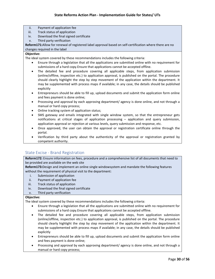- ii. Payment of application fee
- iii. Track status of application
- iv. Download the final signed certificate
- v. Third party verification

**Reform171:**Allow for renewal of registered label approval based on self-certification where there are no changes required in the label

#### **Objective:**

The ideal system covered by these recommendations includes the following criteria:

- Ensure through a legislation that all the applications are submitted online with no requirement for submissions of a hard copy.Ensure that applications cannot be accepted offline.
- The detailed fee and procedure covering all applicable steps, from application submission (online/offline, inspection etc.) to application approval, is published on the portal. The procedure should clearly highlight the step by step movement of the application within the department. It may be supplemented with process maps if available; in any case, the details should be published explicitly
- Entrepreneurs should be able to fill up, upload documents and submit the application form online and fees payment is done online;
- Processing and approval by each approving department/ agency is done online, and not through a manual or hard copy process;
- Online tracking system of application status;
- SMS gateway and emails integrated with single window system, so that the entrepreneur gets notifications at critical stages of application processing – application and query submission, application approval or rejection at various levels, query submission and response, etc.
- Once approved, the user can obtain the approval or registration certificate online through the portal.
- Verification by third party about the authenticity of the approval or registration granted by competent authority.

# State Excise - Brand Registration

**Reform172:** Ensure information on fees, procedure and a comprehensive list of all documents that need to be provided are available on the web site

**Reform173:**Design and implement an online single windowsystem and mandate the following features without the requirement of physical visit to the department:

- i. Submission of application
- ii. Payment of application fee
- iii. Track status of application
- iv. Download the final signed certificate
- v. Third party verification

## **Objective:**

- Ensure through a legislation that all the applications are submitted online with no requirement for submissions of a hard copy.Ensure that applications cannot be accepted offline.
- The detailed fee and procedure covering all applicable steps, from application submission (online/offline, inspection etc.) to application approval, is published on the portal. The procedure should clearly highlight the step by step movement of the application within the department. It may be supplemented with process maps if available; in any case, the details should be published explicitly
- Entrepreneurs should be able to fill up, upload documents and submit the application form online and fees payment is done online;
- Processing and approval by each approving department/ agency is done online, and not through a manual or hard copy process;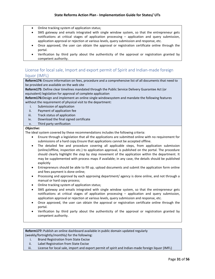- Online tracking system of application status;
- SMS gateway and emails integrated with single window system, so that the entrepreneur gets notifications at critical stages of application processing – application and query submission, application approval or rejection at various levels, query submission and response, etc.
- Once approved, the user can obtain the approval or registration certificate online through the portal.
- Verification by third party about the authenticity of the approval or registration granted by competent authority.

# License for local sale, Import and export permit of Spirit and Indian-made foreign liquor (IMFL)

**Reform174:** Ensure information on fees, procedure and a comprehensive list of all documents that need to be provided are available on the web site

**Reform175**: Define clear timelines mandated through the Public Service Delivery Guarantee Act (or equivalent) legislation for approval of complete application

**Reform176:**Design and implement an online single windowsystem and mandate the following features without the requirement of physical visit to the department:

- i. Submission of application
- ii. Payment of application fee
- iii. Track status of application
- iv. Download the final signed certificate
- v. Third party verification

### *Objective:*

The ideal system covered by these recommendations includes the following criteria:

- Ensure through a legislation that all the applications are submitted online with no requirement for submissions of a hard copy.Ensure that applications cannot be accepted offline.
- The detailed fee and procedure covering all applicable steps, from application submission (online/offline, inspection etc.) to application approval, is published on the portal. The procedure should clearly highlight the step by step movement of the application within the department. It may be supplemented with process maps if available; in any case, the details should be published explicitly
- Entrepreneurs should be able to fill up, upload documents and submit the application form online and fees payment is done online;
- Processing and approval by each approving department/ agency is done online, and not through a manual or hard copy process;
- Online tracking system of application status;
- SMS gateway and emails integrated with single window system, so that the entrepreneur gets notifications at critical stages of application processing – application and query submission, application approval or rejection at various levels, query submission and response, etc.
- Once approved, the user can obtain the approval or registration certificate online through the portal.
- Verification by third party about the authenticity of the approval or registration granted by competent authority.

**Reform177:** Publish an online dashboard available in public domain updated regularly (weekly/fortnightly/monthly) for the following:

- i. Brand Registration from State Excise
- ii. Label Registration from State Excise
- iii. License for local sale, import and export permit of spirit and Indian-made foreign liquor (IMFL)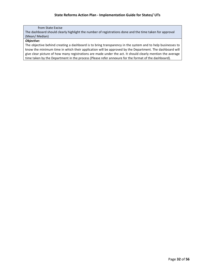#### from State Excise

The dashboard should clearly highlight the number of registrations done and the time taken for approval (Mean/ Median)

#### *Objective:*

The objective behind creating a dashboard is to bring transparency in the system and to help businesses to know the minimum time in which their application will be approved by the Department. The dashboard will give clear picture of how many registrations are made under the act. It should clearly mention the average time taken by the Department in the process (Please refer annexure for the format of the dashboard).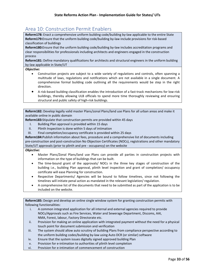# <span id="page-33-0"></span>Area 10: Construction Permit Enablers

**Reform178:** Enact a comprehensive uniform building code/building by-law applicable to the entire State **Reform179:**Ensure that the uniform building code/building by-law include provisions for risk-based classification of buildings

**Reform180:**Ensure that the uniform building code/building by-law includes accreditation programs and clear responsibilities for professionals including architects and engineers engaged in the construction process

**Reform181:** Define mandatory qualifications for architects and structural engineers in the uniform building by-law applicable in State/UT

*Objective:*

- Construction projects are subject to a wide variety of regulations and controls, often spanning a multitude of laws, regulations and notifications which are not available in a single document. A comprehensive formal building code outlining all the requirements would be step in the right direction.
- A risk-based building classification enables the introduction of a fast-track mechanisms for low-risk buildings, thereby allowing ULB officials to spend more time thoroughly reviewing and ensuring structural and public safety of high-risk buildings.

**Reform182:** Develop legally valid master Plans/zonal Plans/land use Plans for all urban areas and make it available online in public domain

**Reform183:**Stipulate that construction permits are provided within 45 days

- I. Building Plan approval is provided within 15 days
- II. Plinth Inspection is done within 5 days of intimation
- III. Final completion/occupancy certificate is provided within 25 days

**Reform184:**Publish information about fees, procedure and a comprehensive list of documents including pre-construction and post-construction No Objection Certificates (NOCs), registrations and other mandatory State/UT approvals (prior to plinth and pre - occupancy) on the website

#### *Objective:*

- Master Plans/Zonal Plans/land use Plans can provide all parties in construction projects with information on the type of buildings that can be built.
- The time-bound grant of the approvals/ NOCs in the three key stages of construction of the building i.e., building Plan approval, plinth level inspection and grant of completion/ occupancy certificate will ease Planning for construction.
- Respective Departments/ Agencies will be bound to follow timelines, since not following the timelines will initiate penal action as mandated in the relevant legislation/ regulation.
- A comprehensive list of the documents that need to be submitted as part of the application is to be included on the website.

**Reform185:** Design and develop an online single window system for granting construction permits with following functionalities:

- i. A common integrated application for all internal and external agencies required to provide NOCs/Approvals such as Fire Services, Water and Sewerage Department, Discoms, AAI, NMA, Forest, labour, Factory Directorate etc.
- ii. Provision for making an online application with integrated payment without the need for a physical touch point for document submission and verification
- iii. The system should allow auto scrutiny of building Plans from compliance perspective according to the uniform building codes/building by-law using Auto DCR (or similar) software
- iv. Ensure that the system issues digitally signed approved building Plan
- v. Provision for e-intimation to authorities of plinth level completion
- vi. Provision for e-intimation of commencement of construction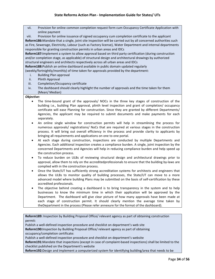vii. Provision for online common completion request form cum Occupancy Certificate Application with online payment

viii. Provision for online issuance of signed occupancy cum completion certificate to the applicant **Reform186:**Mandate that a single, joint site inspection will be carried out by all concerned authorities such as Fire, Sewerage, Electricity, Labour (such as Factory license), Water Department and internal departments responsible for granting construction permits in urban areas and IDCs

**Reform187:**Implement a system to allow approval based on third party certification (during construction and/or completion stage, as applicable) of structural design and architectural drawings by authorized structural engineers and architects respectively across all urban areas and IDCs

**Reform188:**Publish an online dashboard available in public domain updated regularly

(weekly/fortnightly/monthly) of time taken for approvals provided by the department:

- i. Building Plan approval
- ii. Plinth Approval
- iii. Completion/Occupancy certificate
- iv. The dashboard should clearly highlight the number of approvals and the time taken for them (Mean/ Median)

#### *Objective:*

- The time-bound grant of the approvals/ NOCs in the three key stages of construction of the building i.e., building Plan approval, plinth level inspection and grant of completion/ occupancy certificate will ease Planning for construction. Since they are granted by different Departments/ Agencies, the applicant may be required to submit documents and make payments for each separately.
- An online single window for construction permits will help in streamlining the process for numerous approvals/ registrations/ NoCs that are required at various stages in the construction process. It will bring out overall efficiency in the process and provide clarity to applicants by bringing all requirements and applications on one to one portal.
- At each stage during construction, inspections are conducted by multiple Departments and Agencies. Each additional inspection creates a compliance burden. A single, joint inspection by the concerned Departments and Agencies will help in reducing compliance burden and help speed up the construction process.
- To reduce burden on ULBs of reviewing structural design and architectural drawings prior to approval, allow them to rely on the accreditedprofessionals to ensure that the building by-laws are complied with in the construction process.
- Once the State/UT has sufficiently strong accreditation systems for architects and engineers that allows the ULBs to monitor quality of building processes, the State/UT can move to a more advanced model where building Plans may be submitted on the basis of self-certification by these accredited professionals.
- The objective behind creating a dashboard is to bring transparency in the system and to help businesses to know the minimum time in which their application will be approved by the Department. The dashboard will give clear picture of how many approvals have been made at each stage of construction permit. It should clearly mention the average time taken by theDepartment in the process (Please refer annexure for the format of the dashboard).

**Reform189:** Inspection by Building Proposal Office/ relevant agency as part of obtaining construction permit:

Publish a well-defined inspection procedure and checklist on department's web site

**Reform190:**Inspection by Building Proposal Office/ relevant agency as part of obtaining occupancy/completion certificate:

Publish a well-defined inspection procedure and checklist on department's website

**Reform191:**Mandate that inspections (except in case of complaint-based inspections) shall be limited to the checklist published on the Department's website

**Reform192:**Design and implement a computerized system for identifying building/area that needs to be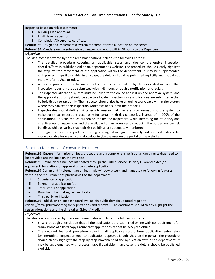inspected based on risk assessment:

- 1. Building Plan approval
- 2. Plinth level inspection
- 3. Completion/Occupancy certificate.

**Reform193:**Design and implement a system for computerized allocation of inspectors

**Reform194:**Mandate online submission of inspection report within 48 hours to the Department

#### *Objective:*

The ideal system covered by these recommendations includes the following criteria:

- The detailed procedure covering all applicable steps and the comprehensive inspection checklist/form is published online on department's website. The procedure should clearly highlight the step by step movement of the application within the department. It may be supplemented with process maps if available; in any case, the details should be published explicitly and should not merely refer to Acts or rules.
- A specific provision must be made by the state government or by the associated agencies that inspection reports must be submitted within 48 hours through a notification or circular.
- The inspector allocation system must be linked to the online application and approval system, and the approval authority should be able to allocate inspectors once applications are submitted either by jurisdiction or randomly. The inspector should also have an online workspace within the system where they can see their inspection workflows and submit their reports.
- Inspectorates should define risk criteria to ensure that they are programmed into the system to make sure that inspections occur only for certain high-risk categories, instead of in 100% of the applications. This can reduce burden on the limited inspectors, while increasing the efficiency and effectiveness of inspections and the available human resources by reducing the burden on low risk buildings while ensuring that high-risk buildings are adequately monitored.
- The signed inspection report either digitally signed or signed manually and scanned should be made available for viewing and downloading by the user on the portal or the website.

# Sanction for storage of construction material

**Reform195:** Ensure information on fees, procedure and a comprehensive list of all documents that need to be provided are available on the web site

**Reform196:**Define clear timelines mandated through the Public Service Delivery Guarantee Act (or equivalent) legislation for approval of complete application

**Reform197:**Design and implement an online single window system and mandate the following features without the requirement of physical visit to the department:

- i. Submission of application
- ii. Payment of application fee
- iii. Track status of application
- iv. Download the final signed certificate
- v. Third party verification

**Reform198:**Publish an online dashboard availablein public domain updated regularly

(weekly/fortnightly/monthly) for registrations and renewals. The dashboard should clearly highlight the registrations done and the time taken (Mean/ Median)

#### *Objective:*

- Ensure through a legislation that all the applications are submitted online with no requirement for submissions of a hard copy.Ensure that applications cannot be accepted offline.
- The detailed fee and procedure covering all applicable steps, from application submission (online/offline, inspection etc.) to application approval, is published on the portal. The procedure should clearly highlight the step by step movement of the application within the department. It may be supplemented with process maps if available; in any case, the details should be published explicitly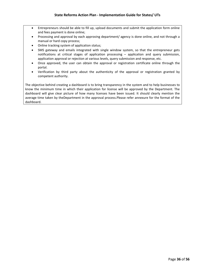- Entrepreneurs should be able to fill up, upload documents and submit the application form online and fees payment is done online;
- Processing and approval by each approving department/ agency is done online, and not through a manual or hard copy process;
- Online tracking system of application status;
- SMS gateway and emails integrated with single window system, so that the entrepreneur gets notifications at critical stages of application processing – application and query submission, application approval or rejection at various levels, query submission and response, etc.
- Once approved, the user can obtain the approval or registration certificate online through the portal.
- Verification by third party about the authenticity of the approval or registration granted by competent authority.

The objective behind creating a dashboard is to bring transparency in the system and to help businesses to know the minimum time in which their application for license will be approved by the Department. The dashboard will give clear picture of how many licenses have been issued. It should clearly mention the average time taken by theDepartment in the approval process.Please refer annexure for the format of the dashboard.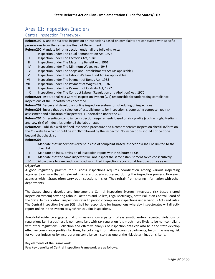# <span id="page-37-0"></span>Area 11: Inspection Enablers

# Central Inspection Framework

**Reform199:** Mandate surprise inspection or inspections based on complaints are conducted with specific permissions from the respective Head of Department

**Reform200:**Mandate joint- inspection under all the following Acts:

- I. Inspection under The Equal Remuneration Act, 1976
- II. Inspection under The Factories Act, 1948
- III. Inspection under The Maternity Benefit Act, 1961
- IV. Inspection under The Minimum Wages Act, 1948
- V. Inspection under The Shops and Establishments Act (as applicable)
- VI. Inspection under The Labour Welfare Fund Act (as applicable)
- VII. Inspection under The Payment of Bonus Act, 1965
- VIII. Inspection under The Payment of Wages Act, 1936
- IX. Inspection under The Payment of Gratuity Act, 1972
- X. Inspection under The Contract Labour (Regulation and Abolition) Act, 1970

**Reform201:**Institutionalize a Central Inspection System (CIS) responsible for undertaking compliance inspections of the Departments concerned

**Reform202:**Design and develop an online inspection system for scheduling of inspections

**Reform203:**Ensure that the selection of establishments for inspection is done using computerized risk assessment and allocation of inspectors is undertaken under the CIS

**Reform204:**Differentiate compliance inspection requirements based on risk profile (such as High, Medium and Low risk) of industries under all the labour laws

**Reform205:**Publish a well-defined inspection procedure and a comprehensive inspection checklist/form on the CIS website which should be strictly followed by the inspector. No inspections should not be done beyond that checklist

#### **Reform206:**

- I. Mandate that inspections (except in case of complaint-based inspections) shall be limited to the checklist
- II. Mandate online submission of inspection report within 48 hours to CIS
- III. Mandate that the same inspector will not inspect the same establishment twice consecutively
- IV. Allow users to view and download submitted inspection reports of at least past three years

#### *Objective:*

A good regulatory practice for business inspections requires coordination among various inspecting agencies to ensure that all relevant risks are properly addressed during the inspection process. However, agencies within States often carry out inspections in silos. They refrain from sharing information with other departments.

The States should develop and implement a Central Inspection System (integrated risk based shared inspection system) covering Labour, Factories and Boilers, Legal Metrology, State Pollution Control Board of the State. In this context, inspections refer to periodic compliance inspections under various Acts and rules. The Central Inspection System (CIS) shall be responsible for inspections whereby inspectorates will directly report online in the system to synchronize Joint inspections.

Anecdotal evidence suggests that businesses show a pattern of systematic and/or repeated violations of regulations i.e. if a business is non-compliant with tax regulation it is much more likely to be non-compliant with other regulations. Collection and effective analysis of inspection data can also help the state develop effective compliance profiles for firms, by collating information across departments, helps in assessing risk for various industries by incorporating compliance history as one of the risk-determination criteria.

#### Key elements of the Framework

Few key benefits of Central Inspection Framework are as follows: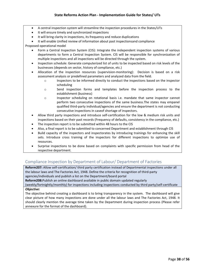- A central inspection system will streamline the inspection procedures in the States/UTs
- It will ensure timely and synchronized inspections
- It will bring clarity in inspections, its frequency and reduce duplications
- It will enable Unified review of information about past inspectionsand compliance

Proposed operational model

- Form a Central Inspection System (CIS): Integrate the independent inspection systems of various departments to form a Central Inspection System. CIS will be responsible for synchronization of multiple inspections and all inspections will be directed through the system.
- Inspection schedule: Generate computerized list of units to be inspected based on risk levels of the businesses (depends on sector, history of compliance, etc.)
- Allocation of the inspection resources (supervision-monitoring): Decision is based on a risk assessment analysis or predefined parameters and analyzed data from the field.
	- o Inspectors to be informed directly to conduct the inspections based on the inspector scheduling
	- o Send inspection forms and templates before the inspection process to the establishment (business)
	- o Inspector scheduling on rotational basis i.e. mandate that same inspector cannot perform two consecutive inspections of the same business.The states may empanel qualified third-party individual/agencies and ensure the department is not conducting consecutive inspections in caseof shortage of inspectors.
- Allow third party inspections and introduce self-certification for the low & medium risk units and inspections based on their past records (Frequency of defaults, consistency in the compliance, etc.)
- The inspection report is to be submitted within 48 hours to the CIS
- Also, a final report is to be submitted to concerned Department and establishment through CIS
- Build capacity of the inspectors and inspectorates by introducing trainings for enhancing the skill sets. Introduce cross training of the inspectors for different inspections to optimize use of resources.
- Surprise inspections to be done based on complaints with specific permission from head of the respective department.

# Compliance Inspection by Department of Labour/ Department of Factories

**Reform207:** Allow self-certification/ third party certification instead of Departmental inspections under all the labour laws and The Factories Act, 1948. Define the criteria for recognition of third-party agencies/individuals and publish a list on the Department/board portal

**Reform208:**Publish an online dashboard available in public domain updated regularly

(weekly/fortnightly/monthly) for inspections including inspections conducted by third party/self-certificate *Objective:*

The objective behind creating a dashboard is to bring transparency in the system. The dashboard will give clear picture of how many inspections are done under all the labour laws and The Factories Act, 1948. It should clearly mention the average time taken by the Department during inspection process (Please refer annexure for the format of the dashboard).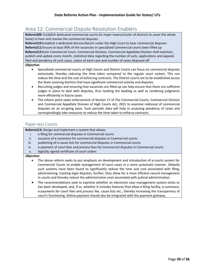# <span id="page-39-0"></span>Area 12: Commercial Dispute Resolution Enablers

**Reform209:** Establish dedicated commercial courts (in major towns/cluster of districts to cover the whole State) to hear and resolve the commercial disputes

**Reform210:**Establish a dedicated division/bench under the High Court to hear commercial disputes **Reform211:**Ensure at least 90% of the vacancies in specialized Commercial courts been filled up **Reform212:**Each Commercial Court, Commercial Division, Commercial Appellate Division shall maintain, publish and update every month, statistical data regarding the number of suits, applications and appeals filed and pendency of such cases, status of each case and number of cases disposed off

#### *Objective:*

- Specialized commercial courts at High Courts and District Courts can focus on commercial disputes exclusively, thereby reducing the time taken compared to the regular court system. This can reduce the time and the cost of enforcing contracts. The District courts are to be established across the State covering districts that have significant commercial activity and disputes.
- Recruiting judges and ensuring that vacancies are filled up can help ensure that there are sufficient judges in place to deal with disputes, thus tackling the backlog as well as rendering judgments more efficiently in future cases.
- The reform point seeks enforcement of Section 17 of The Commercial Courts, Commercial Division and Commercial Appellate Division of High Courts Act, 2015 to examine redressal of commercial disputes on an on-going basis. Such periodic data will help in assessing pendency of cases and correspondingly take measures to reduce the time taken to enforce contracts.

## Paper-less Courts

**Reform213:** Design and implement a system that allows:

- i. e-filing for commercial disputes in Commercial courts
- ii. issuance of e-summons for commercial disputes in Commercial courts
- iii. publishing of e-cause lists for commercial disputes in Commercial courts
- iv. e-payment of court fees and process fees for Commercial disputes in Commercial courts
- v. digitally signed certificate of court orders

#### *Objective:*

- The above reform seeks to put emphasis on development and introduction of e-courts system for Commercial Courts to enable management of court cases in a more systematic manner. Globally such systems have been found to significantly reduce the time and cost associated with filing, administering, tracking legal disputes; further, they allow for a more efficient record management in courts and thereby reduce the administrative costs associated with judicial administration.
- The recommendations seek to examine whether an electronic case management system exists or has been developed, and, if so, whether it includes features that allow e-filing facility, e-summons, e-payments for court fees and process fee, cause lists etc., thereby increasing the transparency of court's functioning. Online payment should also be integrated with the payment gateway.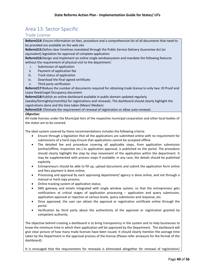# <span id="page-40-0"></span>Area 13: Sector Specific

# <span id="page-40-1"></span>Trade License

**Reform214:** Ensure information on fees, procedure and a comprehensive list of all documents that need to be provided are available on the web site

**Reform215:**Define clear timelines mandated through the Public Service Delivery Guarantee Act (or equivalent) legislation for approval of complete application

**Reform216:**Design and implement an online single windowsystem and mandate the following features without the requirement of physical visit to the department:

- i. Submission of application
- ii. Payment of application fee
- iii. Track status of application

iv. Download the final signed certificate

v. Third party verification

**Reform217:**Reduce the number of documents required for obtaining trade license to only two: ID Proof and Lease Deed/Legal Occupancy document

**Reform218:**Publish an online dashboard available in public domain updated regularly

(weekly/fortnightly/monthly) for registrations and renewals. The dashboard should clearly highlight the registrations done and the time taken (Mean/ Median)

**Reform219:** Eliminate the requirement of renewal of registration or allow auto-renewal.

#### *Objective:*

All trade licenses under the Municipal Acts of the respective municipal corporation and other local bodies of the states are to be covered.

The ideal system covered by these recommendations includes the following criteria:

- Ensure through a legislation that all the applications are submitted online with no requirement for submissions of a hard copy.Ensure that applications cannot be accepted offline.
- The detailed fee and procedure covering all applicable steps, from application submission (online/offline, inspection etc.) to application approval, is published on the portal. The procedure should clearly highlight the step by step movement of the application within the department. It may be supplemented with process maps if available; in any case, the details should be published explicitly
- Entrepreneurs should be able to fill up, upload documents and submit the application form online and fees payment is done online;
- Processing and approval by each approving department/ agency is done online, and not through a manual or hard copy process;
- Online tracking system of application status;
- SMS gateway and emails integrated with single window system, so that the entrepreneur gets notifications at critical stages of application processing – application and query submission, application approval or rejection at various levels, query submission and response, etc.
- Once approved, the user can obtain the approval or registration certificate online through the portal.
- Verification by third party about the authenticity of the approval or registration granted by competent authority.

The objective behind creating a dashboard is to bring transparency in the system and to help businesses to know the minimum time in which their application will be approved by the Department. The dashboard will give clear picture of how many trade licenses have been issued. It should clearly mention the average time taken by the Department in the approval process of the license (Please refer annexure for the format of the dashboard).

It is envisaged that the requirements for renewals is eliminated altogether for renewal of registration/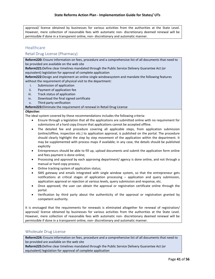approval/ license obtained by businesses for various activities from the authorities at the State Level. However, mere collection of reasonable fees with automatic non- discretionary deemed renewal will be permissible if done in a transparent online, non- discretionary and automatic manner.

# <span id="page-41-0"></span>**Healthcare**

### Retail Drug License (Pharmacy)

**Reform220:** Ensure information on fees, procedure and a comprehensive list of all documents that need to be provided are available on the web site

**Reform221:**Define clear timelines mandated through the Public Service Delivery Guarantee Act (or equivalent) legislation for approval of complete application

**Reform222:**Design and implement an online single windowsystem and mandate the following features without the requirement of physical visit to the department:

- i. Submission of application
- ii. Payment of application fee
- iii. Track status of application
- iv. Download the final signed certificate
- v. Third party verification

#### **Reform223:**Eliminate the requirement of renewal in Retail Drug License

#### *Objective:*

The ideal system covered by these recommendations includes the following criteria:

- Ensure through a legislation that all the applications are submitted online with no requirement for submissions of a hard copy.Ensure that applications cannot be accepted offline.
- The detailed fee and procedure covering all applicable steps, from application submission (online/offline, inspection etc.) to application approval, is published on the portal. The procedure should clearly highlight the step by step movement of the application within the department. It may be supplemented with process maps if available; in any case, the details should be published explicitly
- Entrepreneurs should be able to fill up, upload documents and submit the application form online and fees payment is done online;
- Processing and approval by each approving department/ agency is done online, and not through a manual or hard copy process;
- Online tracking system of application status;
- SMS gateway and emails integrated with single window system, so that the entrepreneur gets notifications at critical stages of application processing – application and query submission, application approval or rejection at various levels, query submission and response, etc.
- Once approved, the user can obtain the approval or registration certificate online through the portal.
- Verification by third party about the authenticity of the approval or registration granted by competent authority.

It is envisaged that the requirements for renewals is eliminated altogether for renewal of registration/ approval/ license obtained by businesses for various activities from the authorities at the State Level. However, mere collection of reasonable fees with automatic non- discretionary deemed renewal will be permissible if done in a transparent online, non- discretionary and automatic manner.

#### Wholesale Drug License

**Reform224:** Ensure information on fees, procedure and a comprehensive list of all documents that need to be provided are available on the web site

**Reform225:**Define clear timelines mandated through the Public Service Delivery Guarantee Act (or equivalent) legislation for approval of complete application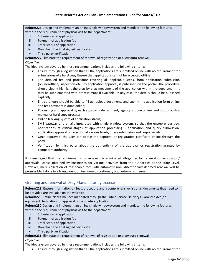### **State Reforms Action Plan - Implementation Guide for States/ UTs**

**Reform226:**Design and implement an online single windowsystem and mandate the following features without the requirement of physical visit to the department:

- i. Submission of application
- ii. Payment of application fee
- iii. Track status of application
- iv. Download the final signed certificate
- v. Third party verification

#### **Reform227:**Eliminate the requirement of renewal of registration or allow auto-renewal.

#### *Objective:*

The ideal system covered by these recommendations includes the following criteria:

- Ensure through a legislation that all the applications are submitted online with no requirement for submissions of a hard copy.Ensure that applications cannot be accepted offline.
- The detailed fee and procedure covering all applicable steps, from application submission (online/offline, inspection etc.) to application approval, is published on the portal. The procedure should clearly highlight the step by step movement of the application within the department. It may be supplemented with process maps if available; in any case, the details should be published explicitly
- Entrepreneurs should be able to fill up, upload documents and submit the application form online and fees payment is done online;
- Processing and approval by each approving department/ agency is done online, and not through a manual or hard copy process;
- Online tracking system of application status;
- SMS gateway and emails integrated with single window system, so that the entrepreneur gets notifications at critical stages of application processing – application and query submission, application approval or rejection at various levels, query submission and response, etc.
- Once approved, the user can obtain the approval or registration certificate online through the portal.
- Verification by third party about the authenticity of the approval or registration granted by competent authority.

It is envisaged that the requirements for renewals is eliminated altogether for renewal of registration/ approval/ license obtained by businesses for various activities from the authorities at the State Level. However, mere collection of reasonable fees with automatic non- discretionary deemed renewal will be permissible if done in a transparent online, non- discretionary and automatic manner.

### Granting and renewal of Drug Manufacturing License

**Reform228:** Ensure information on fees, procedure and a comprehensive list of all documents that need to be provided are available on the web site

**Reform229:**Define clear timelines mandated through the Public Service Delivery Guarantee Act (or equivalent) legislation for approval of complete application

**Reform230:**Design and implement an online single windowsystem and mandate the following features without the requirement of physical visit to the department:

- i. Submission of application
- ii. Payment of application fee
- iii. Track status of application
- iv. Download the final signed certificate
- v. Third party verification

#### **Reform231:**Eliminate the requirement of renewal of registration or allowauto-renewal

# *Objective:*

The ideal system covered by these recommendations includes the following criteria:

• Ensure through a legislation that all the applications are submitted online with no requirement for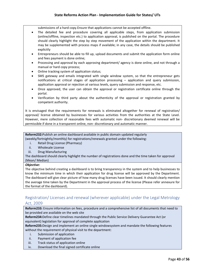submissions of a hard copy.Ensure that applications cannot be accepted offline.

- The detailed fee and procedure covering all applicable steps, from application submission (online/offline, inspection etc.) to application approval, is published on the portal. The procedure should clearly highlight the step by step movement of the application within the department. It may be supplemented with process maps if available; in any case, the details should be published explicitly
- Entrepreneurs should be able to fill up, upload documents and submit the application form online and fees payment is done online;
- Processing and approval by each approving department/ agency is done online, and not through a manual or hard copy process;
- Online tracking system of application status;
- SMS gateway and emails integrated with single window system, so that the entrepreneur gets notifications at critical stages of application processing – application and query submission, application approval or rejection at various levels, query submission and response, etc.
- Once approved, the user can obtain the approval or registration certificate online through the portal.
- Verification by third party about the authenticity of the approval or registration granted by competent authority.

It is envisaged that the requirements for renewals is eliminated altogether for renewal of registration/ approval/ license obtained by businesses for various activities from the authorities at the State Level. However, mere collection of reasonable fees with automatic non- discretionary deemed renewal will be permissible if done in a transparent online, non- discretionary and automatic manner.

**Reform232:**Publish an online dashboard available in public domain updated regularly (weekly/fortnightly/monthly) for registrations/renewals granted under the following:

- i. Retail Drug License (Pharmacy)
- ii. Wholesale License
- iii. Drug Manufacturing
- The dashboard should clearly highlight the number of registrations done and the time taken for approval (Mean/ Median)

#### *Objective:*

The objective behind creating a dashboard is to bring transparency in the system and to help businesses to know the minimum time in which their application for drug license will be approved by the Department. The dashboard will give clear picture of how many drug licenses have been issued. It should clearly mention the average time taken by the Department in the approval process of the license (Please refer annexure for the format of the dashboard).

# <span id="page-43-0"></span>Registration/ Licenses and renewal (wherever applicable) under the Legal Metrology Act, 2009

**Reform233:** Ensure information on fees, procedure and a comprehensive list of all documents that need to be provided are available on the web site

**Reform234:**Define clear timelines mandated through the Public Service Delivery Guarantee Act (or equivalent) legislation for approval of complete application

**Reform235:**Design and implement an online single windowsystem and mandate the following features without the requirement of physical visit to the department:

- i. Submission of application
- ii. Payment of application fee
- iii. Track status of application online
- iv. Download the final signed certificate online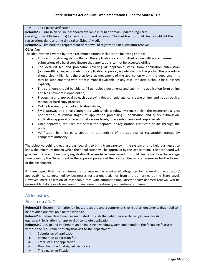v. Third party verification **Reform236:**Publish an online dashboard available in public domain updated regularly (weekly/fortnightly/monthly) for registrations and renewals. The dashboard should clearly highlight the registrations done and the time taken (Mean/ Median) **Reform237:**Eliminate the requirement of renewal of registration or allow auto-renewal *Objective:* The ideal system covered by these recommendations includes the following criteria: • Ensure through a legislation that all the applications are submitted online with no requirement for submissions of a hard copy.Ensure that applications cannot be accepted offline. • The detailed fee and procedure covering all applicable steps, from application submission

- (online/offline, inspection etc.) to application approval, is published on the portal. The procedure should clearly highlight the step by step movement of the application within the department. It may be supplemented with process maps if available; in any case, the details should be published explicitly
- Entrepreneurs should be able to fill up, upload documents and submit the application form online and fees payment is done online;
- Processing and approval by each approving department/ agency is done online, and not through a manual or hard copy process;
- Online tracking system of application status;
- SMS gateway and emails integrated with single window system, so that the entrepreneur gets notifications at critical stages of application processing – application and query submission, application approval or rejection at various levels, query submission and response, etc.
- Once approved, the user can obtain the approval or registration certificate online through the portal.
- Verification by third party about the authenticity of the approval or registration granted by competent authority.

The objective behind creating a dashboard is to bring transparency in the system and to help businesses to know the minimum time in which their application will be approved by the Department. The dashboard will give clear picture of how many registration/licenses have been issued. It should clearly mention the average time taken by the Department in the approval process of the license (Please refer annexure for the format of the dashboard).

It is envisaged that the requirements for renewals is eliminated altogether for renewal of registration/ approval/ license obtained by businesses for various activities from the authorities at the State Level. However, mere collection of reasonable fees with automatic non- discretionary deemed renewal will be permissible if done in a transparent online, non- discretionary and automatic manner.

# <span id="page-44-0"></span>All Industries

# Fire License/ NoC

**Reform238:** Ensure information on fees, procedure and a comprehensive list of all documents that need to be provided are available on the web site

**Reform239:**Define clear timelines mandated through the Public Service Delivery Guarantee Act (or equivalent) legislation for approval of complete application

**Reform240:**Design and implement an online single windowsystem and mandate the following features without the requirement of physical visit to the department:

- i. Submission of application
- ii. Payment of application fee
- iii. Track status of application
- iv. Download the final signed certificate
- v. Third party verification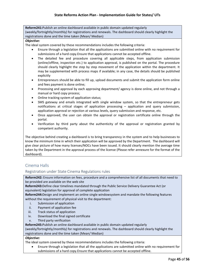**Reform241:**Publish an online dashboard available in public domain updated regularly (weekly/fortnightly/monthly) for registrations and renewals. The dashboard should clearly highlight the registrations done and the time taken (Mean/ Median)

#### *Objective:*

The ideal system covered by these recommendations includes the following criteria:

- Ensure through a legislation that all the applications are submitted online with no requirement for submissions of a hard copy.Ensure that applications cannot be accepted offline.
- The detailed fee and procedure covering all applicable steps, from application submission (online/offline, inspection etc.) to application approval, is published on the portal. The procedure should clearly highlight the step by step movement of the application within the department. It may be supplemented with process maps if available; in any case, the details should be published explicitly
- Entrepreneurs should be able to fill up, upload documents and submit the application form online and fees payment is done online;
- Processing and approval by each approving department/ agency is done online, and not through a manual or hard copy process;
- Online tracking system of application status;
- SMS gateway and emails integrated with single window system, so that the entrepreneur gets notifications at critical stages of application processing – application and query submission, application approval or rejection at various levels, query submission and response, etc.
- Once approved, the user can obtain the approval or registration certificate online through the portal.
- Verification by third party about the authenticity of the approval or registration granted by competent authority.

The objective behind creating a dashboard is to bring transparency in the system and to help businesses to know the minimum time in which their application will be approved by the Department. The dashboard will give clear picture of how many licenses/NOCs have been issued. It should clearly mention the average time taken by the Department in the approval process of the license (Please refer annexure for the format of the dashboard).

# <span id="page-45-0"></span>Cinema Halls

### Registration under State Cinema Regulations rules

**Reform242:** Ensure information on fees, procedure and a comprehensive list of all documents that need to be provided are available on the web site

**Reform243:**Define clear timelines mandated through the Public Service Delivery Guarantee Act (or equivalent) legislation for approval of complete application

**Reform244:**Design and implement an online single windowsystem and mandate the following features without the requirement of physical visit to the department:

- i. Submission of application
- ii. Payment of application fee
- iii. Track status of application
- iv. Download the final signed certificate
- v. Third party verification

**Reform245:**Publish an online dashboard available in public domain updated regularly

(weekly/fortnightly/monthly) for registrations and renewals. The dashboard should clearly highlight the registrations done and the time taken (Mean/ Median)

#### *Objective:*

The ideal system covered by these recommendations includes the following criteria:

• Ensure through a legislation that all the applications are submitted online with no requirement for submissions of a hard copy.Ensure that applications cannot be accepted offline.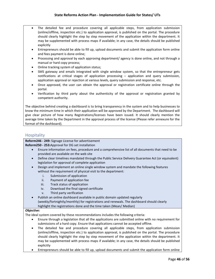- The detailed fee and procedure covering all applicable steps, from application submission (online/offline, inspection etc.) to application approval, is published on the portal. The procedure should clearly highlight the step by step movement of the application within the department. It may be supplemented with process maps if available; in any case, the details should be published explicitly
- Entrepreneurs should be able to fill up, upload documents and submit the application form online and fees payment is done online;
- Processing and approval by each approving department/ agency is done online, and not through a manual or hard copy process;
- Online tracking system of application status;
- SMS gateway and emails integrated with single window system, so that the entrepreneur gets notifications at critical stages of application processing – application and query submission, application approval or rejection at various levels, query submission and response, etc.
- Once approved, the user can obtain the approval or registration certificate online through the portal.
- Verification by third party about the authenticity of the approval or registration granted by competent authority.

The objective behind creating a dashboard is to bring transparency in the system and to help businesses to know the minimum time in which their application will be approved by the Department. The dashboard will give clear picture of how many Registrations/licenses have been issued. It should clearly mention the average time taken by the Department in the approval process of the license (Please refer annexure for the format of the dashboard).

## <span id="page-46-0"></span>**Hospitality**

**Reform246 - 249:** Signage License for advertisement

**Reform250 - 253:**Approval for DG set installation

- Ensure information on fees, procedure and a comprehensive list of all documents that need to be provided are available on the web site
- Define clear timelines mandated through the Public Service Delivery Guarantee Act (or equivalent) legislation for approval of complete application
- Design and implement an online single window system and mandate the following features without the requirement of physical visit to the department:
	- i. Submission of application
	- ii. Payment of application fee
	- iii. Track status of application
	- iv. Download the final signed certificate
	- v. Third party verification
- Publish an online dashboard available in public domain updated regularly (weekly/fortnightly/monthly) for registrations and renewals. The dashboard should clearly highlight the registrations done and the time taken (Mean/ Median)

#### *Objective:*

- Ensure through a legislation that all the applications are submitted online with no requirement for submissions of a hard copy. Ensure that applications cannot be accepted offline.
- The detailed fee and procedure covering all applicable steps, from application submission (online/offline, inspection etc.) to application approval, is published on the portal. The procedure should clearly highlight the step by step movement of the application within the department. It may be supplemented with process maps if available; in any case, the details should be published explicitly
- Entrepreneurs should be able to fill up, upload documents and submit the application form online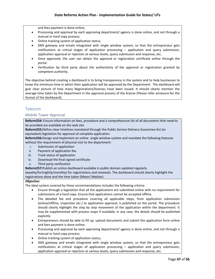and fees payment is done online;

- Processing and approval by each approving department/ agency is done online, and not through a manual or hard copy process;
- Online tracking system of application status;
- SMS gateway and emails integrated with single window system, so that the entrepreneur gets notifications at critical stages of application processing – application and query submission, application approval or rejection at various levels, query submission and response, etc.
- Once approved, the user can obtain the approval or registration certificate online through the portal.
- Verification by third party about the authenticity of the approval or registration granted by competent authority.

The objective behind creating a dashboard is to bring transparency in the system and to help businesses to know the minimum time in which their application will be approved by the Department. The dashboard will give clear picture of how many Registrations/licenses have been issued. It should clearly mention the average time taken by the Department in the approval process of the license (Please refer annexure for the format of the dashboard).

# <span id="page-47-0"></span>Telecom

#### Mobile Tower Approval

**Reform254:** Ensure information on fees, procedure and a comprehensive list of all documents that need to be provided are available on the web site

**Reform255:**Define clear timelines mandated through the Public Service Delivery Guarantee Act (or equivalent) legislation for approval of complete application

**Reform256:**Design and implement an online single window system and mandate the following features without the requirement of physical visit to the department:

- i. Submission of application
- ii. Payment of application fee
- iii. Track status of application
- iv. Download the final signed certificate
- v. Third party verification

**Reform257:**Publish an online dashboard available in public domain updated regularly

(weekly/fortnightly/monthly) for registrations and renewals. The dashboard should clearly highlight the registrations done and the time taken (Mean/ Median)

#### *Objective:*

- Ensure through a legislation that all the applications are submitted online with no requirement for submissions of a hard copy. Ensure that applications cannot be accepted offline.
- The detailed fee and procedure covering all applicable steps, from application submission (online/offline, inspection etc.) to application approval, is published on the portal. The procedure should clearly highlight the step by step movement of the application within the department. It may be supplemented with process maps if available; in any case, the details should be published explicitly
- Entrepreneurs should be able to fill up, upload documents and submit the application form online and fees payment is done online;
- Processing and approval by each approving department/ agency is done online, and not through a manual or hard copy process;
- Online tracking system of application status;
- SMS gateway and emails integrated with single window system, so that the entrepreneur gets notifications at critical stages of application processing – application and query submission, application approval or rejection at various levels, query submission and response, etc.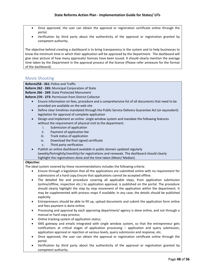- Once approved, the user can obtain the approval or registration certificate online through the portal.
- Verification by third party about the authenticity of the approval or registration granted by competent authority.

The objective behind creating a dashboard is to bring transparency in the system and to help businesses to know the minimum time in which their application will be approved by the Department. The dashboard will give clear picture of how many approvals/ licenses have been issued. It should clearly mention the average time taken by the Department in the approval process of the license (Please refer annexure for the format of the dashboard).

## <span id="page-48-0"></span>Movie Shooting

**Reform258 - 261:** Police and Traffic

**Reform 262 - 265:** Municipal Corporation of State

**Reform 266 - 269:** State Protected Monument

**Reform 270 - 273:** Permission from District Collector

- Ensure information on fees, procedure and a comprehensive list of all documents that need to be provided are available on the web site
- Define clear timelines mandated through the Public Service Delivery Guarantee Act (or equivalent) legislation for approval of complete application
- Design and implement an online single window system and mandate the following features without the requirement of physical visit to the department:
	- i. Submission of application<br>ii. Payment of application fee
	- Payment of application fee
	- iii. Track status of application
	- iv. Download the final signed certificate
	- v. Third party verification
- Publish an online dashboard available in public domain updated regularly (weekly/fortnightly/monthly) for registrations and renewals. The dashboard should clearly highlight the registrations done and the time taken (Mean/ Median)

#### *Objective:*

- Ensure through a legislation that all the applications are submitted online with no requirement for submissions of a hard copy.Ensure that applications cannot be accepted offline.
- The detailed fee and procedure covering all applicable steps, from application submission (online/offline, inspection etc.) to application approval, is published on the portal. The procedure should clearly highlight the step by step movement of the application within the department. It may be supplemented with process maps if available; in any case, the details should be published explicitly
- Entrepreneurs should be able to fill up, upload documents and submit the application form online and fees payment is done online;
- Processing and approval by each approving department/ agency is done online, and not through a manual or hard copy process;
- Online tracking system of application status;
- SMS gateway and emails integrated with single window system, so that the entrepreneur gets notifications at critical stages of application processing – application and query submission, application approval or rejection at various levels, query submission and response, etc.
- Once approved, the user can obtain the approval or registration certificate online through the portal.
- Verification by third party about the authenticity of the approval or registration granted by competent authority.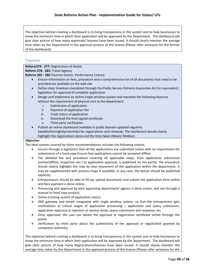The objective behind creating a dashboard is to bring transparency in the system and to help businesses to know the minimum time in which their application will be approved by the Department. The dashboard will give clear picture of how many approvals/ licenses have been issued. It should clearly mention the average time taken by the Department in the approval process of the license (Please refer annexure for the format of the dashboard).

# <span id="page-49-0"></span>Tourism

**Reform274 - 277:** Registration of Hotels

**Reform 278 - 281:** Travel Agency

**Reform 282 - 285:**Tourism Events- Performance License

- Ensure information on fees, procedure and a comprehensive list of all documents that need to be provided are available on the web site
- Define clear timelines mandated through the Public Service Delivery Guarantee Act (or equivalent) legislation for approval of complete application
- Design and implement an online single window system and mandate the following features without the requirement of physical visit to the department:
	- i. Submission of application
	- ii. Payment of application fee
	- iii. Track status of application
	- iv. Download the final signed certificate
	- v. Third party verification
- Publish an online dashboard available in public domain updated regularly (weekly/fortnightly/monthly) for registrations and renewals. The dashboard should clearly highlight the registrations done and the time taken (Mean/ Median)

### *Objective:*

The ideal system covered by these recommendations includes the following criteria:

- Ensure through a legislation that all the applications are submitted online with no requirement for submissions of a hard copy.Ensure that applications cannot be accepted offline.
- The detailed fee and procedure covering all applicable steps, from application submission (online/offline, inspection etc.) to application approval, is published on the portal. The procedure should clearly highlight the step by step movement of the application within the department. It may be supplemented with process maps if available; in any case, the details should be published explicitly
- Entrepreneurs should be able to fill up, upload documents and submit the application form online and fees payment is done online;
- Processing and approval by each approving department/ agency is done online, and not through a manual or hard copy process;
- Online tracking system of application status;
- SMS gateway and emails integrated with single window system, so that the entrepreneur gets notifications at critical stages of application processing – application and query submission, application approval or rejection at various levels, query submission and response, etc.
- Once approved, the user can obtain the approval or registration certificate online through the portal.
- Verification by third party about the authenticity of the approval or registration granted by competent authority.

The objective behind creating a dashboard is to bring transparency in the system and to help businesses to know the minimum time in which their application will be approved by the Department. The dashboard will give clear picture of how many Registrations/licenses have been issued. It should clearly mention the average time taken by the Department in the approval process of the license (Please refer annexure for the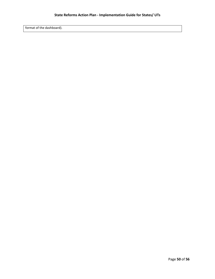format of the dashboard).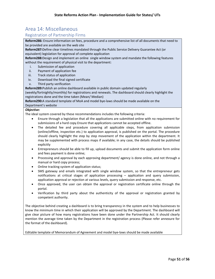# <span id="page-51-0"></span>Area 14: Miscellaneous

# Registration of Partnership Firms

**Reform286:** Ensure information on fees, procedure and a comprehensive list of all documents that need to be provided are available on the web site

**Reform287:**Define clear timelines mandated through the Public Service Delivery Guarantee Act (or equivalent) legislation for approval of complete application

**Reform288:**Design and implement an online single window system and mandate the following features without the requirement of physical visit to the department:

- i. Submission of application
- ii. Payment of application fee
- iii. Track status of application
- iv. Download the final signed certificate
- v. Third party verification

**Reform289:**Publish an online dashboard available in public domain updated regularly

(weekly/fortnightly/monthly) for registrations and renewals. The dashboard should clearly highlight the registrations done and the time taken (Mean/ Median)

**Reform290:**A standard template of MoA and model bye-laws should be made available on the Department's website

#### *Objective:*

The ideal system covered by these recommendations includes the following criteria:

- Ensure through a legislation that all the applications are submitted online with no requirement for submissions of a hard copy.Ensure that applications cannot be accepted offline.
- The detailed fee and procedure covering all applicable steps, from application submission (online/offline, inspection etc.) to application approval, is published on the portal. The procedure should clearly highlight the step by step movement of the application within the department. It may be supplemented with process maps if available; in any case, the details should be published explicitly
- Entrepreneurs should be able to fill up, upload documents and submit the application form online and fees payment is done online;
- Processing and approval by each approving department/ agency is done online, and not through a manual or hard copy process;
- Online tracking system of application status;
- SMS gateway and emails integrated with single window system, so that the entrepreneur gets notifications at critical stages of application processing – application and query submission, application approval or rejection at various levels, query submission and response, etc.
- Once approved, the user can obtain the approval or registration certificate online through the portal.
- Verification by third party about the authenticity of the approval or registration granted by competent authority.

The objective behind creating a dashboard is to bring transparency in the system and to help businesses to know the minimum time in which their application will be approved by the Department. The dashboard will give clear picture of how many registrations have been done under the Partnership Act. It should clearly mention the average time taken by the Department in the registration process (Please refer annexure for the format of the dashboard).

Editable template of Memorandum of Agreement and model bye-laws should be made available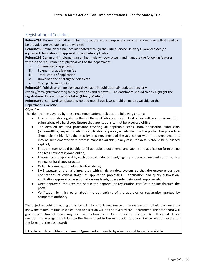# Registration of Societies

**Reform291:** Ensure information on fees, procedure and a comprehensive list of all documents that need to be provided are available on the web site

**Reform292:**Define clear timelines mandated through the Public Service Delivery Guarantee Act (or equivalent) legislation for approval of complete application

**Reform293:**Design and implement an online single window system and mandate the following features without the requirement of physical visit to the department:

- i. Submission of application
- ii. Payment of application fee
- iii. Track status of application
- iv. Download the final signed certificate
- v. Third party verification

**Reform294:**Publish an online dashboard available in public domain updated regularly

(weekly/fortnightly/monthly) for registrations and renewals. The dashboard should clearly highlight the registrations done and the time taken (Mean/ Median)

**Reform295:**A standard template of MoA and model bye-laws should be made available on the Department's website

#### *Objective:*

The ideal system covered by these recommendations includes the following criteria:

- Ensure through a legislation that all the applications are submitted online with no requirement for submissions of a hard copy.Ensure that applications cannot be accepted offline.
- The detailed fee and procedure covering all applicable steps, from application submission (online/offline, inspection etc.) to application approval, is published on the portal. The procedure should clearly highlight the step by step movement of the application within the department. It may be supplemented with process maps if available; in any case, the details should be published explicitly
- Entrepreneurs should be able to fill up, upload documents and submit the application form online and fees payment is done online;
- Processing and approval by each approving department/ agency is done online, and not through a manual or hard copy process;
- Online tracking system of application status;
- SMS gateway and emails integrated with single window system, so that the entrepreneur gets notifications at critical stages of application processing – application and query submission, application approval or rejection at various levels, query submission and response, etc.
- Once approved, the user can obtain the approval or registration certificate online through the portal.
- Verification by third party about the authenticity of the approval or registration granted by competent authority.

The objective behind creating a dashboard is to bring transparency in the system and to help businesses to know the minimum time in which their application will be approved by the Department. The dashboard will give clear picture of how many registrations have been done under the Societies Act. It should clearly mention the average time taken by the Department in the registration process (Please refer annexure for the format of the dashboard)

Editable template of Memorandum of Agreement and model bye-laws should be made available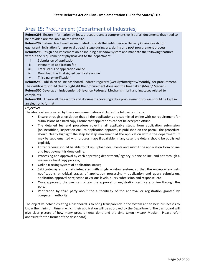# <span id="page-53-0"></span>Area 15: Procurement (Department of Industries)

**Reform296:** Ensure information on fees, procedure and a comprehensive list of all documents that need to be provided are available on the web site

**Reform297:**Define clear timelines mandated through the Public Service Delivery Guarantee Act (or equivalent) legislation for approval at each stage during pre, during and post procurement process **Reform298:**Design and implement an online single window system and mandate the following features without the requirement of physical visit to the department:

- i. Submission of application
- ii. Payment of application fee
- iii. Track status of application online
- iv. Download the final signed certificate online
- v. Third party verification

**Reform299:**Publish an online dashboard updated regularly (weekly/fortnightly/monthly) for procurement. The dashboard should clearly highlight the procurement done and the time taken (Mean/ Median) **Reform300:**Develop an Independent Grievance Redressal Mechanism for handling cases related to complaints

**Reform301:** Ensure all the records and documents covering entire procurement process should be kept in an electronic format

#### *Objective:*

The ideal system covered by these recommendations includes the following criteria:

- Ensure through a legislation that all the applications are submitted online with no requirement for submissions of a hard copy.Ensure that applications cannot be accepted offline.
- The detailed fee and procedure covering all applicable steps, from application submission (online/offline, inspection etc.) to application approval, is published on the portal. The procedure should clearly highlight the step by step movement of the application within the department. It may be supplemented with process maps if available; in any case, the details should be published explicitly
- Entrepreneurs should be able to fill up, upload documents and submit the application form online and fees payment is done online;
- Processing and approval by each approving department/ agency is done online, and not through a manual or hard copy process;
- Online tracking system of application status;
- SMS gateway and emails integrated with single window system, so that the entrepreneur gets notifications at critical stages of application processing – application and query submission, application approval or rejection at various levels, query submission and response, etc.
- Once approved, the user can obtain the approval or registration certificate online through the portal.
- Verification by third party about the authenticity of the approval or registration granted by competent authority.

The objective behind creating a dashboard is to bring transparency in the system and to help businesses to know the minimum time in which their application will be approved by the Department. The dashboard will give clear picture of how many procurements done and the time taken (Mean/ Median). Please refer annexure for the format of the dashboard).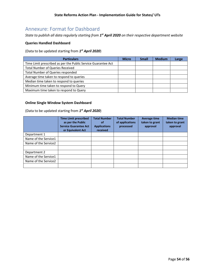# <span id="page-54-0"></span>Annexure: Format for Dashboard

*State to publish all data regularly starting from 1st April 2020 on their respective department website*

### **Queries Handled Dashboard**

(Data to be updated starting from *1st April 2020*)

| <b>Particulars</b>                                            | <b>Micro</b> | <b>Small</b> | <b>Medium</b> | Large |
|---------------------------------------------------------------|--------------|--------------|---------------|-------|
| Time Limit prescribed as per the Public Service Guarantee Act |              |              |               |       |
| <b>Total Number of Queries Received</b>                       |              |              |               |       |
| Total Number of Queries responded                             |              |              |               |       |
| Average time taken to respond to queries                      |              |              |               |       |
| Median time taken to respond to queries                       |              |              |               |       |
| Minimum time taken to respond to Query                        |              |              |               |       |
| Maximum time taken to respond to Query                        |              |              |               |       |

### **Online Single Window System Dashboard**

(Data to be updated starting from *1st April 2020*)

|                      | <b>Time Limit prescribed</b><br>as per the Public<br><b>Service Guarantee Act</b><br>or Equivalent Act | <b>Total Number</b><br><b>of</b><br><b>Applications</b><br>received | <b>Total Number</b><br>of applications<br>processed | <b>Average time</b><br>taken to grant<br>approval | <b>Median time</b><br>taken to grant<br>approval |
|----------------------|--------------------------------------------------------------------------------------------------------|---------------------------------------------------------------------|-----------------------------------------------------|---------------------------------------------------|--------------------------------------------------|
| Department 1         |                                                                                                        |                                                                     |                                                     |                                                   |                                                  |
| Name of the Service1 |                                                                                                        |                                                                     |                                                     |                                                   |                                                  |
| Name of the Service2 |                                                                                                        |                                                                     |                                                     |                                                   |                                                  |
|                      |                                                                                                        |                                                                     |                                                     |                                                   |                                                  |
| Department 2         |                                                                                                        |                                                                     |                                                     |                                                   |                                                  |
| Name of the Service1 |                                                                                                        |                                                                     |                                                     |                                                   |                                                  |
| Name of the Service2 |                                                                                                        |                                                                     |                                                     |                                                   |                                                  |
|                      |                                                                                                        |                                                                     |                                                     |                                                   |                                                  |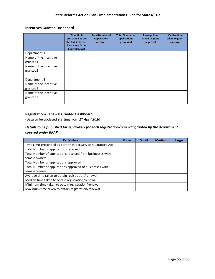## **Incentives Granted Dashboard**

|                                   | <b>Time Limit</b><br>prescribed as per<br>the Public Service<br><b>Guarantee Act or</b><br><b>Equivalent Act</b> | <b>Total Number of</b><br><b>Applications</b><br>received | <b>Total Number of</b><br>applications<br>processed | Average time<br>taken to grant<br>approval | <b>Median time</b><br>taken to grant<br>approval |
|-----------------------------------|------------------------------------------------------------------------------------------------------------------|-----------------------------------------------------------|-----------------------------------------------------|--------------------------------------------|--------------------------------------------------|
| Department 1                      |                                                                                                                  |                                                           |                                                     |                                            |                                                  |
| Name of the incentive<br>granted1 |                                                                                                                  |                                                           |                                                     |                                            |                                                  |
| Name of the incentive<br>granted2 |                                                                                                                  |                                                           |                                                     |                                            |                                                  |
|                                   |                                                                                                                  |                                                           |                                                     |                                            |                                                  |
| Department 2                      |                                                                                                                  |                                                           |                                                     |                                            |                                                  |
| Name of the incentive<br>granted1 |                                                                                                                  |                                                           |                                                     |                                            |                                                  |
| Name of the incentive<br>granted2 |                                                                                                                  |                                                           |                                                     |                                            |                                                  |
|                                   |                                                                                                                  |                                                           |                                                     |                                            |                                                  |

### **Registration/Renewal Granted Dashboard**

(Data to be updated starting from *1st April 2020*)

# *Details to be published for separately for each registration/renewal granted by the department covered under BRAP*

| <b>Particulars</b>                                            | <b>Micro</b> | <b>Small</b> | <b>Medium</b> | Large |
|---------------------------------------------------------------|--------------|--------------|---------------|-------|
| Time Limit prescribed as per the Public Service Guarantee Act |              |              |               |       |
| Total Number of applications received                         |              |              |               |       |
| Total Number of applications received from businesses with    |              |              |               |       |
| female owners                                                 |              |              |               |       |
| Total Number of applications approved                         |              |              |               |       |
| Total Number of applications approved of businesses with      |              |              |               |       |
| female owners                                                 |              |              |               |       |
| Average time taken to obtain registration/renewal             |              |              |               |       |
| Median time taken to obtain registration/renewal              |              |              |               |       |
| Minimum time taken to obtain registration/renewal             |              |              |               |       |
| Maximum time taken to obtain registration/renewal             |              |              |               |       |